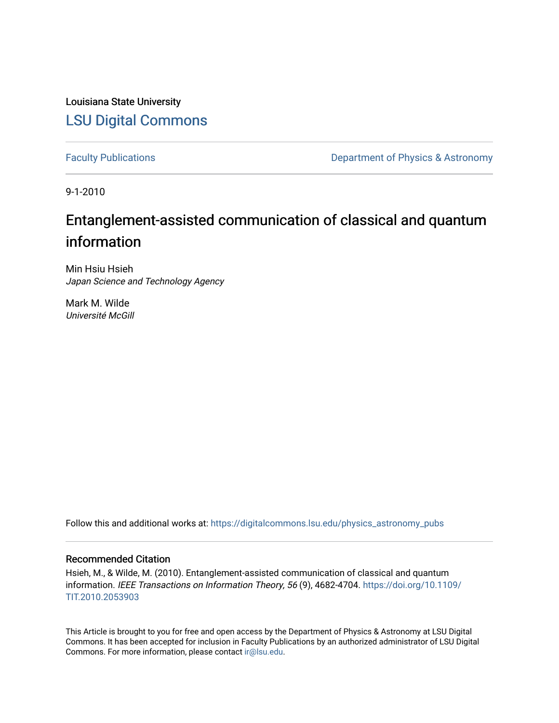Louisiana State University [LSU Digital Commons](https://digitalcommons.lsu.edu/)

[Faculty Publications](https://digitalcommons.lsu.edu/physics_astronomy_pubs) **Exercise 2** Constant Department of Physics & Astronomy

9-1-2010

# Entanglement-assisted communication of classical and quantum information

Min Hsiu Hsieh Japan Science and Technology Agency

Mark M. Wilde Université McGill

Follow this and additional works at: [https://digitalcommons.lsu.edu/physics\\_astronomy\\_pubs](https://digitalcommons.lsu.edu/physics_astronomy_pubs?utm_source=digitalcommons.lsu.edu%2Fphysics_astronomy_pubs%2F5759&utm_medium=PDF&utm_campaign=PDFCoverPages) 

## Recommended Citation

Hsieh, M., & Wilde, M. (2010). Entanglement-assisted communication of classical and quantum information. IEEE Transactions on Information Theory, 56 (9), 4682-4704. [https://doi.org/10.1109/](https://doi.org/10.1109/TIT.2010.2053903) [TIT.2010.2053903](https://doi.org/10.1109/TIT.2010.2053903)

This Article is brought to you for free and open access by the Department of Physics & Astronomy at LSU Digital Commons. It has been accepted for inclusion in Faculty Publications by an authorized administrator of LSU Digital Commons. For more information, please contact [ir@lsu.edu](mailto:ir@lsu.edu).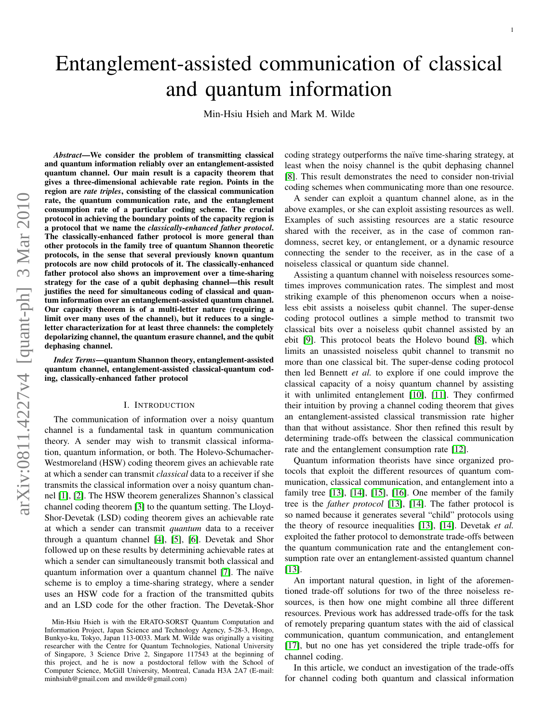# Entanglement-assisted communication of classical and quantum information

Min-Hsiu Hsieh and Mark M. Wilde

*Abstract*—We consider the problem of transmitting classical and quantum information reliably over an entanglement-assisted quantum channel. Our main result is a capacity theorem that gives a three-dimensional achievable rate region. Points in the region are *rate triples*, consisting of the classical communication rate, the quantum communication rate, and the entanglement consumption rate of a particular coding scheme. The crucial protocol in achieving the boundary points of the capacity region is a protocol that we name the *classically-enhanced father protocol*. The classically-enhanced father protocol is more general than other protocols in the family tree of quantum Shannon theoretic protocols, in the sense that several previously known quantum protocols are now child protocols of it. The classically-enhanced father protocol also shows an improvement over a time-sharing strategy for the case of a qubit dephasing channel—this result justifies the need for simultaneous coding of classical and quantum information over an entanglement-assisted quantum channel. Our capacity theorem is of a multi-letter nature (requiring a limit over many uses of the channel), but it reduces to a singleletter characterization for at least three channels: the completely depolarizing channel, the quantum erasure channel, and the qubit dephasing channel.

*Index Terms*—quantum Shannon theory, entanglement-assisted quantum channel, entanglement-assisted classical-quantum coding, classically-enhanced father protocol

## I. INTRODUCTION

The communication of information over a noisy quantum channel is a fundamental task in quantum communication theory. A sender may wish to transmit classical information, quantum information, or both. The Holevo-Schumacher-Westmoreland (HSW) coding theorem gives an achievable rate at which a sender can transmit *classical* data to a receiver if she transmits the classical information over a noisy quantum channel [\[1\]](#page-22-0), [\[2\]](#page-22-1). The HSW theorem generalizes Shannon's classical channel coding theorem [\[3\]](#page-22-2) to the quantum setting. The Lloyd-Shor-Devetak (LSD) coding theorem gives an achievable rate at which a sender can transmit *quantum* data to a receiver through a quantum channel [\[4\]](#page-22-3), [\[5\]](#page-22-4), [\[6\]](#page-22-5). Devetak and Shor followed up on these results by determining achievable rates at which a sender can simultaneously transmit both classical and quantum information over a quantum channel [\[7\]](#page-23-0). The naïve scheme is to employ a time-sharing strategy, where a sender uses an HSW code for a fraction of the transmitted qubits and an LSD code for the other fraction. The Devetak-Shor coding strategy outperforms the naïve time-sharing strategy, at least when the noisy channel is the qubit dephasing channel [\[8\]](#page-23-1). This result demonstrates the need to consider non-trivial coding schemes when communicating more than one resource.

A sender can exploit a quantum channel alone, as in the above examples, or she can exploit assisting resources as well. Examples of such assisting resources are a static resource shared with the receiver, as in the case of common randomness, secret key, or entanglement, or a dynamic resource connecting the sender to the receiver, as in the case of a noiseless classical or quantum side channel.

Assisting a quantum channel with noiseless resources sometimes improves communication rates. The simplest and most striking example of this phenomenon occurs when a noiseless ebit assists a noiseless qubit channel. The super-dense coding protocol outlines a simple method to transmit two classical bits over a noiseless qubit channel assisted by an ebit [\[9\]](#page-23-2). This protocol beats the Holevo bound [\[8\]](#page-23-1), which limits an unassisted noiseless qubit channel to transmit no more than one classical bit. The super-dense coding protocol then led Bennett *et al.* to explore if one could improve the classical capacity of a noisy quantum channel by assisting it with unlimited entanglement [\[10\]](#page-23-3), [\[11\]](#page-23-4). They confirmed their intuition by proving a channel coding theorem that gives an entanglement-assisted classical transmission rate higher than that without assistance. Shor then refined this result by determining trade-offs between the classical communication rate and the entanglement consumption rate [\[12\]](#page-23-5).

Quantum information theorists have since organized protocols that exploit the different resources of quantum communication, classical communication, and entanglement into a family tree [\[13\]](#page-23-6), [\[14\]](#page-23-7), [\[15\]](#page-23-8), [\[16\]](#page-23-9). One member of the family tree is the *father protocol* [\[13\]](#page-23-6), [\[14\]](#page-23-7). The father protocol is so named because it generates several "child" protocols using the theory of resource inequalities [\[13\]](#page-23-6), [\[14\]](#page-23-7). Devetak *et al.* exploited the father protocol to demonstrate trade-offs between the quantum communication rate and the entanglement consumption rate over an entanglement-assisted quantum channel [\[13\]](#page-23-6).

An important natural question, in light of the aforementioned trade-off solutions for two of the three noiseless resources, is then how one might combine all three different resources. Previous work has addressed trade-offs for the task of remotely preparing quantum states with the aid of classical communication, quantum communication, and entanglement [\[17\]](#page-23-10), but no one has yet considered the triple trade-offs for channel coding.

In this article, we conduct an investigation of the trade-offs for channel coding both quantum and classical information

Min-Hsiu Hsieh is with the ERATO-SORST Quantum Computation and Information Project, Japan Science and Technology Agency, 5-28-3, Hongo, Bunkyo-ku, Tokyo, Japan 113-0033. Mark M. Wilde was originally a visiting researcher with the Centre for Quantum Technologies, National University of Singapore, 3 Science Drive 2, Singapore 117543 at the beginning of this project, and he is now a postdoctoral fellow with the School of Computer Science, McGill University, Montreal, Canada H3A 2A7 (E-mail: minhsiuh@gmail.com and mwilde@gmail.com)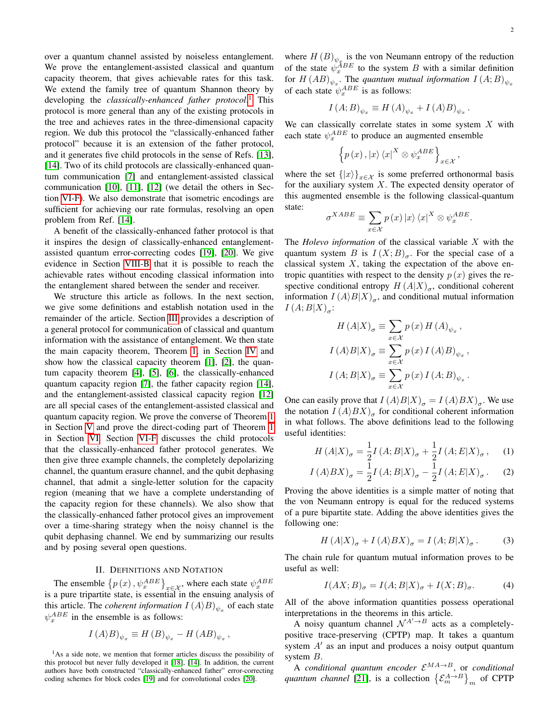over a quantum channel assisted by noiseless entanglement. We prove the entanglement-assisted classical and quantum capacity theorem, that gives achievable rates for this task. We extend the family tree of quantum Shannon theory by developing the *classically-enhanced father protocol*. [1](#page-2-0) This protocol is more general than any of the existing protocols in the tree and achieves rates in the three-dimensional capacity region. We dub this protocol the "classically-enhanced father protocol" because it is an extension of the father protocol, and it generates five child protocols in the sense of Refs. [\[13\]](#page-23-6), [\[14\]](#page-23-7). Two of its child protocols are classically-enhanced quantum communication [\[7\]](#page-23-0) and entanglement-assisted classical communication [\[10\]](#page-23-3), [\[11\]](#page-23-4), [\[12\]](#page-23-5) (we detail the others in Section [VI-F\)](#page-13-0). We also demonstrate that isometric encodings are sufficient for achieving our rate formulas, resolving an open problem from Ref. [\[14\]](#page-23-7).

A benefit of the classically-enhanced father protocol is that it inspires the design of classically-enhanced entanglementassisted quantum error-correcting codes [\[19\]](#page-23-11), [\[20\]](#page-23-12). We give evidence in Section [VIII-B](#page-19-0) that it is possible to reach the achievable rates without encoding classical information into the entanglement shared between the sender and receiver.

We structure this article as follows. In the next section, we give some definitions and establish notation used in the remainder of the article. Section [III](#page-3-0) provides a description of a general protocol for communication of classical and quantum information with the assistance of entanglement. We then state the main capacity theorem, Theorem [1,](#page-4-0) in Section [IV](#page-4-1) and show how the classical capacity theorem [\[1\]](#page-22-0), [\[2\]](#page-22-1), the quantum capacity theorem [\[4\]](#page-22-3), [\[5\]](#page-22-4), [\[6\]](#page-22-5), the classically-enhanced quantum capacity region [\[7\]](#page-23-0), the father capacity region [\[14\]](#page-23-7), and the entanglement-assisted classical capacity region [\[12\]](#page-23-5) are all special cases of the entanglement-assisted classical and quantum capacity region. We prove the converse of Theorem [1](#page-4-0) in Section [V](#page-7-0) and prove the direct-coding part of Theorem [1](#page-4-0) in Section [VI.](#page-9-0) Section [VI-F](#page-13-0) discusses the child protocols that the classically-enhanced father protocol generates. We then give three example channels, the completely depolarizing channel, the quantum erasure channel, and the qubit dephasing channel, that admit a single-letter solution for the capacity region (meaning that we have a complete understanding of the capacity region for these channels). We also show that the classically-enhanced father protocol gives an improvement over a time-sharing strategy when the noisy channel is the qubit dephasing channel. We end by summarizing our results and by posing several open questions.

#### II. DEFINITIONS AND NOTATION

The ensemble  $\{p(x), \psi_x^{ABE}\}_{x \in \mathcal{X}}$ , where each state  $\psi_x^{ABE}$  is a pure tripartite state, is essential in the ensuing analysis of this article. The *coherent information*  $I(A \rangle B)_{\psi_x}$  of each state  $\psi_x^{ABE}$  in the ensemble is as follows:

$$
I(A\rangle B)_{\psi_x} \equiv H(B)_{\psi_x} - H(AB)_{\psi_x},
$$

where  $H(B)_{\psi_{x}}$  is the von Neumann entropy of the reduction of the state  $\psi_x^{\overline{A}BE}$  to the system B with a similar definition for  $H(AB)_{\psi_x}$ . The *quantum mutual information*  $I(A;B)_{\psi_x}$ of each state  $\psi_x^{ABE}$  is as follows:

$$
I(A;B)_{\psi_x} \equiv H(A)_{\psi_x} + I(A \rangle B)_{\psi_x}.
$$

We can classically correlate states in some system  $X$  with each state  $\psi_x^{ABE}$  to produce an augmented ensemble

$$
\left\{p\left(x\right),\left|x\right\rangle \left\langle x\right|^{X}\otimes\psi_{x}^{ABE}\right\} _{x\in\mathcal{X}},
$$

where the set  $\{|x\rangle\}_{x \in \mathcal{X}}$  is some preferred orthonormal basis for the auxiliary system  $X$ . The expected density operator of this augmented ensemble is the following classical-quantum state:

$$
\sigma^{XABE} \equiv \sum_{x \in \mathcal{X}} p(x) \left|x\right\rangle\left\langle x\right|^X \otimes \psi_x^{ABE}.
$$

The *Holevo information* of the classical variable X with the quantum system B is  $I(X;B)_{\sigma}$ . For the special case of a classical system  $X$ , taking the expectation of the above entropic quantities with respect to the density  $p(x)$  gives the respective conditional entropy  $H(A|X)_{\sigma}$ , conditional coherent information  $I(A\rangle B|X)_{\sigma}$ , and conditional mutual information  $I(A;B|X)_{\sigma}$ :

$$
H(A|X)_{\sigma} \equiv \sum_{x \in \mathcal{X}} p(x) H(A)_{\psi_x},
$$
  

$$
I(A \rangle B|X)_{\sigma} \equiv \sum_{x \in \mathcal{X}} p(x) I(A \rangle B)_{\psi_x},
$$
  

$$
I(A;B|X)_{\sigma} \equiv \sum_{x \in \mathcal{X}} p(x) I(A;B)_{\psi_x}.
$$

One can easily prove that  $I(A \rangle B | X)_{\sigma} = I(A \rangle B X)_{\sigma}$ . We use the notation  $I(A\rangle BX)_{\sigma}$  for conditional coherent information in what follows. The above definitions lead to the following useful identities:

<span id="page-2-2"></span><span id="page-2-1"></span>
$$
H(A|X)_{\sigma} = \frac{1}{2}I(A;B|X)_{\sigma} + \frac{1}{2}I(A;E|X)_{\sigma}, \quad (1)
$$

$$
I(A\rangle BX)_{\sigma} = \frac{1}{2}I(A;B|X)_{\sigma} - \frac{1}{2}I(A;E|X)_{\sigma}.
$$
 (2)

Proving the above identities is a simple matter of noting that the von Neumann entropy is equal for the reduced systems of a pure bipartite state. Adding the above identities gives the following one:

$$
H(A|X)_{\sigma} + I(A\rangle BX)_{\sigma} = I(A;B|X)_{\sigma}.
$$
 (3)

The chain rule for quantum mutual information proves to be useful as well:

<span id="page-2-3"></span>
$$
I(AX;B)_{\sigma} = I(A;B|X)_{\sigma} + I(X;B)_{\sigma}.
$$
 (4)

All of the above information quantities possess operational interpretations in the theorems in this article.

A noisy quantum channel  $\mathcal{N}^{A' \rightarrow B}$  acts as a completelypositive trace-preserving (CPTP) map. It takes a quantum system  $A'$  as an input and produces a noisy output quantum system B.

A *conditional quantum encoder*  $\mathcal{E}^{MA\rightarrow B}$ , or *conditional quantum channel* [\[21\]](#page-23-14), is a collection  $\{ \mathcal{E}_m^{A \to B} \}_{m}$  of CPTP

<span id="page-2-0"></span><sup>&</sup>lt;sup>1</sup>As a side note, we mention that former articles discuss the possibility of this protocol but never fully developed it [\[18\]](#page-23-13), [\[14\]](#page-23-7). In addition, the current authors have both constructed "classically-enhanced father" error-correcting coding schemes for block codes [\[19\]](#page-23-11) and for convolutional codes [\[20\]](#page-23-12).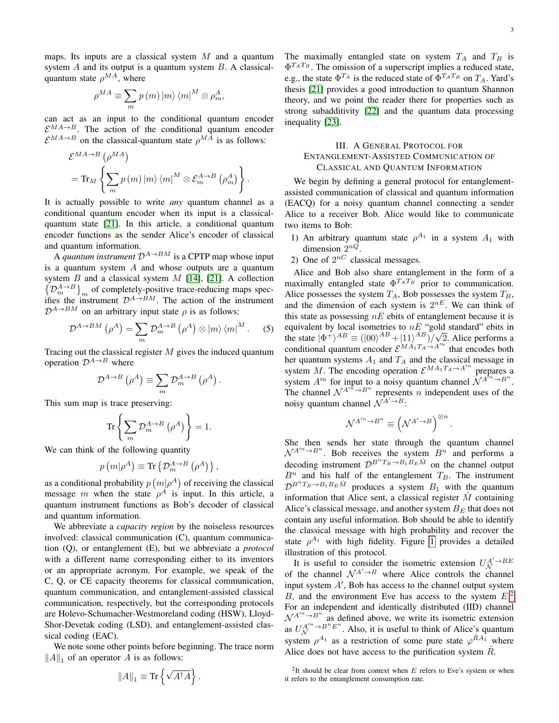3

maps. Its inputs are a classical system  $M$  and a quantum system A and its output is a quantum system B. A classicalquantum state  $\rho^{MA}$ , where

$$
\rho^{MA} \equiv \sum_{m} p(m) \left| m \right\rangle \left\langle m \right|^{M} \otimes \rho_{m}^{A},
$$

can act as an input to the conditional quantum encoder  $\mathcal{E}^{MA\rightarrow B}$ . The action of the conditional quantum encoder  $\mathcal{E}^{MA\rightarrow B}$  on the classical-quantum state  $\rho^{MA}$  is as follows:

$$
\mathcal{E}^{MA \to B} (\rho^{MA})
$$
  
=  $\text{Tr}_M \left\{ \sum_m p(m) |m\rangle \langle m|^M \otimes \mathcal{E}_m^{A \to B} (\rho_m^A) \right\}.$ 

It is actually possible to write *any* quantum channel as a conditional quantum encoder when its input is a classicalquantum state [\[21\]](#page-23-14). In this article, a conditional quantum encoder functions as the sender Alice's encoder of classical and quantum information.

A *quantum instrument*  $D^{A\to BM}$  is a CPTP map whose input is a quantum system  $A$  and whose outputs are a quantum system  $B$  and a classical system  $M$  [\[14\]](#page-23-7), [\[21\]](#page-23-14). A collection  $\left\{\mathcal{D}_{m}^{A\rightarrow B}\right\}_{m}$  of completely-positive trace-reducing maps specifies the instrument  $\mathcal{D}^{A\to BM}$ . The action of the instrument  $\mathcal{D}^{A\to BM}$  on an arbitrary input state  $\rho$  is as follows:

<span id="page-3-2"></span>
$$
\mathcal{D}^{A \to BM} \left( \rho^A \right) = \sum_m \mathcal{D}_m^{A \to B} \left( \rho^A \right) \otimes \left| m \right> \left< m \right|^M. \tag{5}
$$

Tracing out the classical register  $M$  gives the induced quantum operation  $\mathcal{D}^{A\rightarrow B}$  where

$$
\mathcal{D}^{A \to B} \left( \rho^A \right) \equiv \sum_m \mathcal{D}_m^{A \to B} \left( \rho^A \right).
$$

This sum map is trace preserving:

$$
\mathrm{Tr}\left\{ \sum_m \mathcal{D}_m^{A\to B}\left(\rho^A\right)\right\} = 1.
$$

We can think of the following quantity

$$
p(m|\rho^{A}) \equiv \text{Tr} \left\{ \mathcal{D}_{m}^{A \to B} (\rho^{A}) \right\},\
$$

as a conditional probability  $p(m|\rho^A)$  of receiving the classical message m when the state  $\rho^A$  is input. In this article, a quantum instrument functions as Bob's decoder of classical and quantum information.

We abbreviate a *capacity region* by the noiseless resources involved: classical communication (C), quantum communication (Q), or entanglement (E), but we abbreviate a *protocol* with a different name corresponding either to its inventors or an appropriate acronym. For example, we speak of the C, Q, or CE capacity theorems for classical communication, quantum communication, and entanglement-assisted classical communication, respectively, but the corresponding protocols are Holevo-Schumacher-Westmoreland coding (HSW), Lloyd-Shor-Devetak coding (LSD), and entanglement-assisted classical coding (EAC).

We note some other points before beginning. The trace norm  $||A||_1$  of an operator A is as follows:

$$
||A||_1 \equiv \text{Tr}\left\{\sqrt{A^\dagger A}\right\}.
$$

The maximally entangled state on system  $T_A$  and  $T_B$  is  $\Phi^{T_A T_B}$ . The omission of a superscript implies a reduced state, e.g., the state  $\Phi^{T_A}$  is the reduced state of  $\Phi^{T_A T_B}$  on  $T_A$ . Yard's thesis [\[21\]](#page-23-14) provides a good introduction to quantum Shannon theory, and we point the reader there for properties such as strong subadditivity [\[22\]](#page-23-15) and the quantum data processing inequality [\[23\]](#page-23-16).

## <span id="page-3-0"></span>III. A GENERAL PROTOCOL FOR ENTANGLEMENT-ASSISTED COMMUNICATION OF CLASSICAL AND QUANTUM INFORMATION

We begin by defining a general protocol for entanglementassisted communication of classical and quantum information (EACQ) for a noisy quantum channel connecting a sender Alice to a receiver Bob. Alice would like to communicate two items to Bob:

- 1) An arbitrary quantum state  $\rho^{A_1}$  in a system  $A_1$  with dimension  $2^{nQ}$ .
- 2) One of  $2^{nC}$  classical messages.

Alice and Bob also share entanglement in the form of a maximally entangled state  $\Phi^{T_A T_B}$  prior to communication. Alice possesses the system  $T_A$ , Bob possesses the system  $T_B$ , and the dimension of each system is  $2^{nE}$ . We can think of this state as possessing  $nE$  ebits of entanglement because it is equivalent by local isometries to  $nE$  "gold standard" ebits in the state  $|\Phi^{+}\rangle^{AB} \equiv (|00\rangle^{AB} + |11\rangle^{AB})/\sqrt{2}$ . Alice performs a conditional quantum encoder  $\mathcal{E}^{MA_1T_A \rightarrow A'^n}$  that encodes both her quantum systems  $A_1$  and  $T_A$  and the classical message in system M. The encoding operation  $\mathcal{E}^{MA_1T_A\rightarrow A'^n}$  prepares a system  $A'^n$  for input to a noisy quantum channel  $N^{A'^n \to B^n}$ . The channel  $N^{A'^n \rightarrow B^n}$  represents n independent uses of the noisy quantum channel  $\mathcal{N}^{A' \rightarrow B}$ :

$$
\mathcal{N}^{A^{\prime n}\rightarrow B^n}\equiv\left(\mathcal{N}^{A^\prime\rightarrow B}\right)^{\otimes n}.
$$

She then sends her state through the quantum channel  $\mathcal{N}^{A^{\prime n} \rightarrow B^n}$ . Bob receives the system  $B^n$  and performs a decoding instrument  $\mathcal{D}^{B^{n}T_{B}\to B_{1}B_{E}\hat{M}}$  on the channel output  $B<sup>n</sup>$  and his half of the entanglement  $T<sub>B</sub>$ . The instrument  $\mathcal{D}^{B^{n}T_{B}\rightarrow B_{1}B_{E}\hat{M}}$  produces a system  $B_{1}$  with the quantum information that Alice sent, a classical register  $\hat{M}$  containing Alice's classical message, and another system  $B_E$  that does not contain any useful information. Bob should be able to identify the classical message with high probability and recover the state  $\rho^{A_1}$  with high fidelity. Figure [1](#page-4-2) provides a detailed illustration of this protocol.

It is useful to consider the isometric extension  $U_N^{A' \to BE}$ of the channel  $\mathcal{N}^{A' \to B}$  where Alice controls the channel input system  $A'$ , Bob has access to the channel output system B, and the environment Eve has access to the system  $E^2$  $E^2$ . For an independent and identically distributed (IID) channel  $\mathcal{N}^{A^{\prime n} \rightarrow B^n}$  as defined above, we write its isometric extension as  $U_N^{A^{\prime n} \rightarrow B^n E^n}$ . Also, it is useful to think of Alice's quantum system  $\rho^{A_1}$  as a restriction of some pure state  $\varphi^{\hat{R}A_1}$  where Alice does not have access to the purification system  $\hat{R}$ .

<span id="page-3-1"></span><sup>2</sup>It should be clear from context when  $E$  refers to Eve's system or when it refers to the entanglement consumption rate.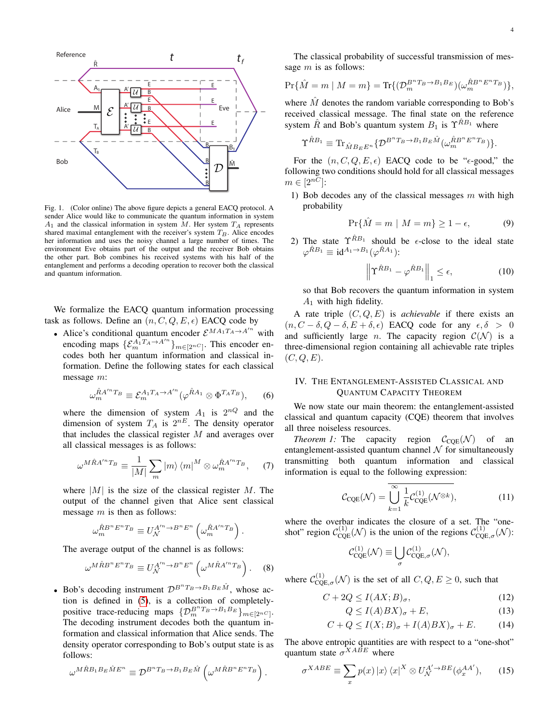

<span id="page-4-2"></span>Fig. 1. (Color online) The above figure depicts a general EACQ protocol. A sender Alice would like to communicate the quantum information in system  $A_1$  and the classical information in system  $M$ . Her system  $T_A$  represents shared maximal entanglement with the receiver's system  $T_B$ . Alice encodes her information and uses the noisy channel a large number of times. The environment Eve obtains part of the output and the receiver Bob obtains the other part. Bob combines his received systems with his half of the entanglement and performs a decoding operation to recover both the classical and quantum information.

We formalize the EACQ quantum information processing task as follows. Define an  $(n, C, Q, E, \epsilon)$  EACQ code by

• Alice's conditional quantum encoder  $\mathcal{E}^{MA_1T_A \rightarrow A'^n}$  with encoding maps  $\{\mathcal{E}_m^{A_1 T_A \rightarrow A'^n}\}_{m \in [2^{nC}]}$ . This encoder encodes both her quantum information and classical information. Define the following states for each classical message m:

$$
\omega_m^{\hat{R}A^{\prime n}T_B} \equiv \mathcal{E}_m^{A_1T_A \to A^{\prime n}} (\varphi^{\hat{R}A_1} \otimes \Phi^{T_A T_B}), \qquad (6)
$$

where the dimension of system  $A_1$  is  $2^{nQ}$  and the dimension of system  $T_A$  is  $2^{nE}$ . The density operator that includes the classical register  $M$  and averages over all classical messages is as follows:

$$
\omega^{M\hat{R}A^{\prime n}T_B} \equiv \frac{1}{|M|} \sum_m |m\rangle \langle m|^M \otimes \omega_m^{\hat{R}A^{\prime n}T_B}, \quad (7)
$$

where  $|M|$  is the size of the classical register M. The output of the channel given that Alice sent classical message  $m$  is then as follows:

$$
\omega_m^{\hat{R}B^n E^n T_B} \equiv U_{\mathcal{N}}^{A^{\prime n} \rightarrow B^n E^n} \left( \omega_m^{\hat{R}A^{\prime n} T_B} \right).
$$

The average output of the channel is as follows:

$$
\omega^{M\hat{R}B^{n}E^{n}T_{B}} \equiv U_{\mathcal{N}}^{A^{\prime n} \to B^{n}E^{n}} \left(\omega^{M\hat{R}A^{\prime n}T_{B}}\right). \tag{8}
$$

• Bob's decoding instrument  $\mathcal{D}^{B^{n}T_{B}\to B_{1}B_{E}\hat{M}}$ , whose action is defined in [\(5\)](#page-3-2), is a collection of completelypositive trace-reducing maps  $\{\mathcal{D}_m^{B^n T_B \to B_1 B_E}\}_{m \in [2^{nC}]}$ . The decoding instrument decodes both the quantum information and classical information that Alice sends. The density operator corresponding to Bob's output state is as follows:

$$
\omega^{M\hat{R}B_1B_E\hat{M}E^n} \equiv \mathcal{D}^{B^nT_B \to B_1B_E\hat{M}} \left( \omega^{M\hat{R}B^n E^n T_B} \right).
$$

The classical probability of successful transmission of message  $m$  is as follows:

$$
\Pr\{\hat{M}=m \mid M=m\} = \text{Tr}\{(\mathcal{D}_m^{B^n T_B \rightarrow B_1 B_E})(\omega_m^{\hat{R}B^n E^n T_B})\},
$$

where  $\hat{M}$  denotes the random variable corresponding to Bob's received classical message. The final state on the reference system  $\hat{R}$  and Bob's quantum system  $B_1$  is  $\Upsilon^{RB_1}$  where

$$
\Upsilon^{\hat{R}B_1} \equiv \text{Tr}_{\hat{M}B_E E^n} \{ \mathcal{D}^{B^n T_B \to B_1 B_E \hat{M}} (\omega_m^{\hat{R}B^n E^n T_B}) \}.
$$

For the  $(n, C, Q, E, \epsilon)$  EACQ code to be " $\epsilon$ -good," the following two conditions should hold for all classical messages  $m \in [2^{nC}]$ :

1) Bob decodes any of the classical messages  $m$  with high probability

<span id="page-4-9"></span>
$$
\Pr\{\hat{M} = m \mid M = m\} \ge 1 - \epsilon,\tag{9}
$$

2) The state  $\Upsilon^{RB_1}$  should be  $\epsilon$ -close to the ideal state  $\varphi^{\hat{R}B_1} \equiv \mathrm{id}^{A_1 \to B_1}(\varphi^{\hat{R}A_1})$ :

<span id="page-4-8"></span>
$$
\left\| \Upsilon^{\hat{R}B_1} - \varphi^{\hat{R}B_1} \right\|_1 \le \epsilon, \tag{10}
$$

so that Bob recovers the quantum information in system  $A_1$  with high fidelity.

A rate triple  $(C, Q, E)$  is *achievable* if there exists an  $(n, C - \delta, Q - \delta, E + \delta, \epsilon)$  EACQ code for any  $\epsilon, \delta > 0$ and sufficiently large n. The capacity region  $C(\mathcal{N})$  is a three-dimensional region containing all achievable rate triples  $(C, Q, E).$ 

## <span id="page-4-1"></span>IV. THE ENTANGLEMENT-ASSISTED CLASSICAL AND QUANTUM CAPACITY THEOREM

We now state our main theorem: the entanglement-assisted classical and quantum capacity (CQE) theorem that involves all three noiseless resources.

<span id="page-4-0"></span>*Theorem 1:* The capacity region  $C_{COE}(\mathcal{N})$  of an entanglement-assisted quantum channel  $\mathcal N$  for simultaneously transmitting both quantum information and classical transmitting both quantum information and information is equal to the following expression:

<span id="page-4-6"></span>
$$
\mathcal{C}_{\text{CQE}}(\mathcal{N}) = \overline{\bigcup_{k=1}^{\infty} \frac{1}{k} \mathcal{C}_{\text{CQE}}^{(1)}(\mathcal{N}^{\otimes k})},\tag{11}
$$

where the overbar indicates the closure of a set. The "oneshot" region  $C_{CQE}^{(1)}(\mathcal{N})$  is the union of the regions  $C_{CQE,\sigma}^{(1)}(\mathcal{N})$ :

$$
\mathcal{C}_{\mathrm{CQE}}^{(1)}(\mathcal{N}) \equiv \bigcup_{\sigma} \mathcal{C}_{\mathrm{CQE},\sigma}^{(1)}(\mathcal{N}),
$$

where  $C^{(1)}_{\text{CQE},\sigma}(\mathcal{N})$  is the set of all  $C, Q, E \geq 0$ , such that

$$
C + 2Q \le I(AX; B)_{\sigma},\tag{12}
$$

<span id="page-4-7"></span><span id="page-4-4"></span><span id="page-4-3"></span>
$$
Q \le I(A\rangle BX)_{\sigma} + E,\tag{13}
$$

$$
C + Q \le I(X; B)_{\sigma} + I(A \rangle BX)_{\sigma} + E. \tag{14}
$$

The above entropic quantities are with respect to a "one-shot" quantum state  $\sigma^{XABE}$  where

<span id="page-4-5"></span>
$$
\sigma^{XABE} \equiv \sum_{x} p(x) \left| x \right\rangle \left\langle x \right|^{X} \otimes U_{\mathcal{N}}^{A^{\prime} \to BE}(\phi_{x}^{AA^{\prime}}), \qquad (15)
$$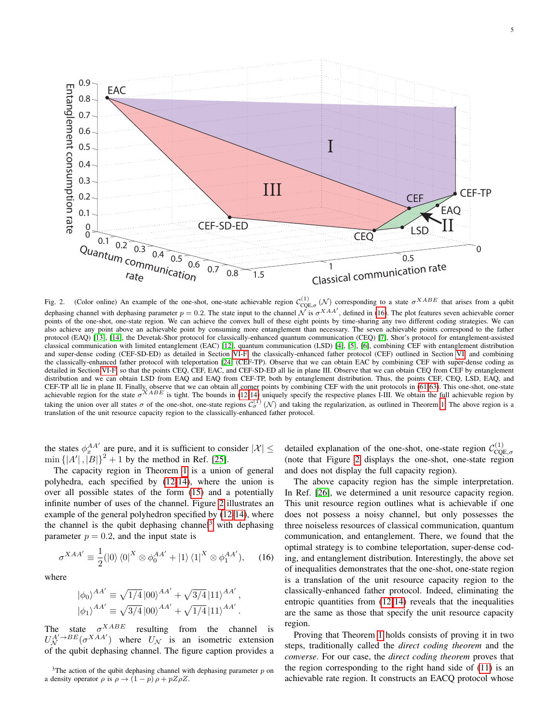

<span id="page-5-1"></span>Fig. 2. (Color online) An example of the one-shot, one-state achievable region  $C_{\text{CQE},\sigma}^{(1)}(\mathcal{N})$  corresponding to a state  $\sigma^{XABE}$  that arises from a qubit dephasing channel with dephasing parameter  $p = 0.2$ . The state input to the channel  $N$  is  $\sigma^{XAA'}$ , defined in [\(16\)](#page-5-0). The plot features seven achievable corner points of the one-shot, one-state region. We can achieve the convex hull of these eight points by time-sharing any two different coding strategies. We can also achieve any point above an achievable point by consuming more entanglement than necessary. The seven achievable points correspond to the father protocol (EAQ) [\[13\]](#page-23-6), [\[14\]](#page-23-7), the Devetak-Shor protocol for classically-enhanced quantum communication (CEQ) [\[7\]](#page-23-0), Shor's protocol for entanglement-assisted classical communication with limited entanglement (EAC) [\[12\]](#page-23-5), quantum communication (LSD) [\[4\]](#page-22-3), [\[5\]](#page-22-4), [\[6\]](#page-22-5), combining CEF with entanglement distribution and super-dense coding (CEF-SD-ED) as detailed in Section [VI-F,](#page-13-0) the classically-enhanced father protocol (CEF) outlined in Section [VI,](#page-9-0) and combining the classically-enhanced father protocol with teleportation [\[24\]](#page-23-17) (CEF-TP). Observe that we can obtain EAC by combining CEF with super-dense coding as detailed in Section [VI-F,](#page-13-0) so that the points CEQ, CEF, EAC, and CEF-SD-ED all lie in plane III. Observe that we can obtain CEQ from CEF by entanglement distribution and we can obtain LSD from EAQ and EAQ from CEF-TP, both by entanglement distribution. Thus, the points CEF, CEQ, LSD, EAQ, and CEF-TP all lie in plane II. Finally, observe that we can obtain all corner points by combining CEF with the unit protocols in [\(61-](#page-13-1)[63\)](#page-13-2). This one-shot, one-state  $\sigma^{XABE}$  is tight. The bounds in [\(12](#page-4-3)[-14\)](#page-4-4) uniquely specify th taking the union over all states  $\sigma$  of the one-shot, one-state regions  $\mathcal{C}^{(1)}_{\sigma}(\mathcal{N})$  and taking the regularization, as outlined in Theorem [1.](#page-4-0) The above region is a translation of the unit resource capacity region to the classically-enhanced father protocol.

the states  $\phi_x^{AA'}$  are pure, and it is sufficient to consider  $|\mathcal{X}| \leq$  $\min\{|A'|, |B|\}^2 + 1$  by the method in Ref. [\[25\]](#page-23-18).

The capacity region in Theorem [1](#page-4-0) is a union of general polyhedra, each specified by [\(12-](#page-4-3)[14\)](#page-4-4), where the union is over all possible states of the form [\(15\)](#page-4-5) and a potentially infinite number of uses of the channel. Figure [2](#page-5-1) illustrates an example of the general polyhedron specified by [\(12](#page-4-3)[-14\)](#page-4-4), where the channel is the qubit dephasing channel<sup>[3](#page-5-2)</sup> with dephasing parameter  $p = 0.2$ , and the input state is

<span id="page-5-0"></span>
$$
\sigma^{XAA'} \equiv \frac{1}{2} (|0\rangle \langle 0|^X \otimes \phi_0^{AA'} + |1\rangle \langle 1|^X \otimes \phi_1^{AA'}), \quad (16)
$$

where

$$
|\phi_0\rangle^{AA'} \equiv \sqrt{1/4} |00\rangle^{AA'} + \sqrt{3/4} |11\rangle^{AA'},
$$
  

$$
|\phi_1\rangle^{AA'} \equiv \sqrt{3/4} |00\rangle^{AA'} + \sqrt{1/4} |11\rangle^{AA'}.
$$

state  $\sigma^{XABE}$ resulting from the channel is  $U_N^{A' \to BE}(\sigma^{XAA'})$  where  $U_N$  is an isometric extension of the qubit dephasing channel. The figure caption provides a

<span id="page-5-2"></span><sup>3</sup>The action of the qubit dephasing channel with dephasing parameter p on a density operator  $\rho$  is  $\rho \to (1 - p) \rho + pZ\rho Z$ .

detailed explanation of the one-shot, one-state region  $\mathcal{C}_{\text{CQ}}^{(1)}$  $CQE, \sigma$ (note that Figure [2](#page-5-1) displays the one-shot, one-state region and does not display the full capacity region).

The above capacity region has the simple interpretation. In Ref. [\[26\]](#page-23-19), we determined a unit resource capacity region. This unit resource region outlines what is achievable if one does not possess a noisy channel, but only possesses the three noiseless resources of classical communication, quantum communication, and entanglement. There, we found that the optimal strategy is to combine teleportation, super-dense coding, and entanglement distribution. Interestingly, the above set of inequalities demonstrates that the one-shot, one-state region is a translation of the unit resource capacity region to the classically-enhanced father protocol. Indeed, eliminating the entropic quantities from [\(12-](#page-4-3)[14\)](#page-4-4) reveals that the inequalities are the same as those that specify the unit resource capacity region.

Proving that Theorem [1](#page-4-0) holds consists of proving it in two steps, traditionally called the *direct coding theorem* and the *converse*. For our case, the *direct coding theorem* proves that the region corresponding to the right hand side of [\(11\)](#page-4-6) is an achievable rate region. It constructs an EACQ protocol whose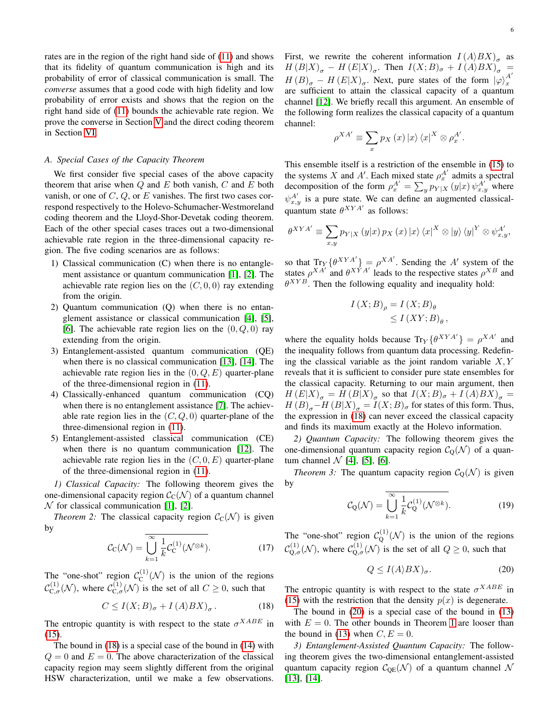rates are in the region of the right hand side of [\(11\)](#page-4-6) and shows that its fidelity of quantum communication is high and its probability of error of classical communication is small. The *converse* assumes that a good code with high fidelity and low probability of error exists and shows that the region on the right hand side of [\(11\)](#page-4-6) bounds the achievable rate region. We prove the converse in Section [V](#page-7-0) and the direct coding theorem in Section [VI.](#page-9-0)

#### *A. Special Cases of the Capacity Theorem*

We first consider five special cases of the above capacity theorem that arise when  $Q$  and  $E$  both vanish,  $C$  and  $E$  both vanish, or one of  $C$ ,  $Q$ , or  $E$  vanishes. The first two cases correspond respectively to the Holevo-Schumacher-Westmoreland coding theorem and the Lloyd-Shor-Devetak coding theorem. Each of the other special cases traces out a two-dimensional achievable rate region in the three-dimensional capacity region. The five coding scenarios are as follows:

- 1) Classical communication (C) when there is no entanglement assistance or quantum communication [\[1\]](#page-22-0), [\[2\]](#page-22-1). The achievable rate region lies on the  $(C, 0, 0)$  ray extending from the origin.
- 2) Quantum communication (Q) when there is no entanglement assistance or classical communication [\[4\]](#page-22-3), [\[5\]](#page-22-4), [\[6\]](#page-22-5). The achievable rate region lies on the  $(0, Q, 0)$  ray extending from the origin.
- 3) Entanglement-assisted quantum communication (QE) when there is no classical communication [\[13\]](#page-23-6), [\[14\]](#page-23-7). The achievable rate region lies in the  $(0, Q, E)$  quarter-plane of the three-dimensional region in [\(11\)](#page-4-6).
- 4) Classically-enhanced quantum communication (CQ) when there is no entanglement assistance [\[7\]](#page-23-0). The achievable rate region lies in the  $(C, Q, 0)$  quarter-plane of the three-dimensional region in [\(11\)](#page-4-6).
- 5) Entanglement-assisted classical communication (CE) when there is no quantum communication [\[12\]](#page-23-5). The achievable rate region lies in the  $(C, 0, E)$  quarter-plane of the three-dimensional region in [\(11\)](#page-4-6).

*1) Classical Capacity:* The following theorem gives the one-dimensional capacity region  $\mathcal{C}_{\mathcal{C}}(\mathcal{N})$  of a quantum channel  $\mathcal N$  for classical communication [\[1\]](#page-22-0), [\[2\]](#page-22-1).

*Theorem 2:* The classical capacity region  $C_{\text{C}}(\mathcal{N})$  is given by

$$
\mathcal{C}_{\mathcal{C}}(\mathcal{N}) = \overline{\bigcup_{k=1}^{\infty} \frac{1}{k} \mathcal{C}_{\mathcal{C}}^{(1)}(\mathcal{N}^{\otimes k})}.
$$
 (17)

The "one-shot" region  $C_{\text{C}}^{(1)}$  $\mathcal{C}^{(1)}(\mathcal{N})$  is the union of the regions  $\mathcal{C}_{C,\sigma}^{(1)}(\mathcal{N})$ , where  $\mathcal{C}_{C,\sigma}^{(1)}(\mathcal{N})$  is the set of all  $C \geq 0$ , such that

<span id="page-6-0"></span>
$$
C \le I(X;B)_{\sigma} + I(A\rangle BX)_{\sigma}.
$$
 (18)

The entropic quantity is with respect to the state  $\sigma^{XABE}$  in [\(15\)](#page-4-5).

The bound in [\(18\)](#page-6-0) is a special case of the bound in [\(14\)](#page-4-4) with  $Q = 0$  and  $E = 0$ . The above characterization of the classical capacity region may seem slightly different from the original HSW characterization, until we make a few observations.

First, we rewrite the coherent information  $I(A\rangle BX)_{\sigma}$  as  $H(B|X)_{\sigma} - H(E|X)_{\sigma}$ . Then  $I(X;B)_{\sigma} + I(A\rangle BX)_{\sigma} =$  $H(B)_{\sigma} - H(E|X)_{\sigma}$ . Next, pure states of the form  $|\varphi\rangle_x^{A'}$ x are sufficient to attain the classical capacity of a quantum channel [\[12\]](#page-23-5). We briefly recall this argument. An ensemble of the following form realizes the classical capacity of a quantum channel:

$$
\rho^{XA'} \equiv \sum_{x} p_X(x) \left| x \right\rangle \left\langle x \right|^{X} \otimes \rho_x^{A'}.
$$

This ensemble itself is a restriction of the ensemble in [\(15\)](#page-4-5) to the systems X and A'. Each mixed state  $\rho_x^{A'}$  admits a spectral decomposition of the form  $\rho_x^{A'} = \sum_y p_{Y|X} (y|x) \psi_{x,y}^{A'}$  where  $\psi_{x,y}^{A'}$  is a pure state. We can define an augmented classicalquantum state  $\theta^{XYA'}$  as follows:

$$
\theta^{XYA'} \equiv \sum_{x,y} p_{Y|X} (y|x) p_X(x) |x\rangle \langle x|^X \otimes |y\rangle \langle y|^Y \otimes \psi_{x,y}^{A'},
$$

so that  $Tr_Y\{\theta^{XYA'}\} = \rho^{XA'}$ . Sending the A' system of the states  $\rho^{XA'}$  and  $\theta^{XY}A'$  leads to the respective states  $\rho^{XB}$  and  $\theta^{XYB}$ . Then the following equality and inequality hold:

$$
I(X;B)_{\rho} = I(X;B)_{\theta}
$$
  
\n
$$
\leq I(XY;B)_{\theta},
$$

where the equality holds because  $Tr_Y\{\theta^{XYA'}\} = \rho^{XA'}$  and the inequality follows from quantum data processing. Redefining the classical variable as the joint random variable  $X, Y$ reveals that it is sufficient to consider pure state ensembles for the classical capacity. Returning to our main argument, then  $H(E|X)_{\sigma} = H(B|X)_{\sigma}$  so that  $I(X;B)_{\sigma} + I(A\rangle BX)_{\sigma} =$  $H(B)_{\sigma}-H(B|X)_{\sigma}=I(X;B)_{\sigma}$  for states of this form. Thus, the expression in [\(18\)](#page-6-0) can never exceed the classical capacity and finds its maximum exactly at the Holevo information.

*2) Quantum Capacity:* The following theorem gives the one-dimensional quantum capacity region  $C<sub>O</sub>(N)$  of a quantum channel  $\mathcal{N}$  [\[4\]](#page-22-3), [\[5\]](#page-22-4), [\[6\]](#page-22-5).

*Theorem 3:* The quantum capacity region  $C_0(\mathcal{N})$  is given by

$$
C_{\mathcal{Q}}(\mathcal{N}) = \overline{\bigcup_{k=1}^{\infty} \frac{1}{k} \mathcal{C}_{\mathcal{Q}}^{(1)}(\mathcal{N}^{\otimes k})}.
$$
 (19)

The "one-shot" region  $C_Q^{(1)}$  $Q^{(1)}(\mathcal{N})$  is the union of the regions  $\mathcal{C}_{Q,\sigma}^{(1)}(\mathcal{N})$ , where  $\mathcal{C}_{Q,\sigma}^{(1)}(\mathcal{N})$  is the set of all  $Q \geq 0$ , such that

<span id="page-6-1"></span>
$$
Q \le I(A\rangle BX)_{\sigma}.
$$
 (20)

The entropic quantity is with respect to the state  $\sigma^{XABE}$  in [\(15\)](#page-4-5) with the restriction that the density  $p(x)$  is degenerate.

The bound in [\(20\)](#page-6-1) is a special case of the bound in [\(13\)](#page-4-7) with  $E = 0$ . The other bounds in Theorem [1](#page-4-0) are looser than the bound in [\(13\)](#page-4-7) when  $C, E = 0$ .

*3) Entanglement-Assisted Quantum Capacity:* The following theorem gives the two-dimensional entanglement-assisted quantum capacity region  $C_{OE}(\mathcal{N})$  of a quantum channel  $\mathcal N$ [\[13\]](#page-23-6), [\[14\]](#page-23-7).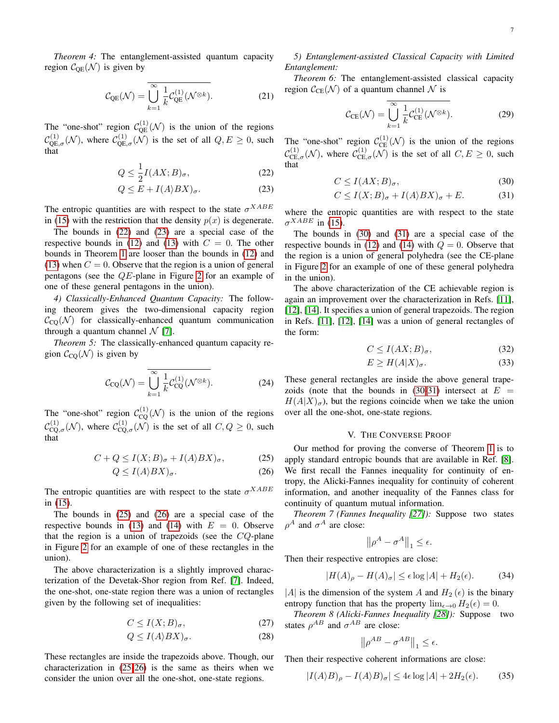*Theorem 4:* The entanglement-assisted quantum capacity region  $C_{OE}(\mathcal{N})$  is given by

$$
\mathcal{C}_{\text{QE}}(\mathcal{N}) = \overline{\bigcup_{k=1}^{\infty} \frac{1}{k} \mathcal{C}_{\text{QE}}^{(1)}(\mathcal{N}^{\otimes k})}.
$$
 (21)

The "one-shot" region  $C_{QE}^{(1)}(\mathcal{N})$  is the union of the regions  $\mathcal{C}^{(1)}_{\text{QE},\sigma}(\mathcal{N})$ , where  $\mathcal{C}^{(1)}_{\text{QE},\sigma}(\mathcal{N})$  is the set of all  $Q, E \geq 0$ , such that

$$
Q \le \frac{1}{2} I(AX; B)_{\sigma},\tag{22}
$$

$$
Q \le E + I(A \rangle BX)_{\sigma}.
$$
 (23)

The entropic quantities are with respect to the state  $\sigma^{XABE}$ in [\(15\)](#page-4-5) with the restriction that the density  $p(x)$  is degenerate.

The bounds in [\(22\)](#page-7-1) and [\(23\)](#page-7-2) are a special case of the respective bounds in [\(12\)](#page-4-3) and [\(13\)](#page-4-7) with  $C = 0$ . The other bounds in Theorem [1](#page-4-0) are looser than the bounds in [\(12\)](#page-4-3) and [\(13\)](#page-4-7) when  $C = 0$ . Observe that the region is a union of general pentagons (see the QE-plane in Figure [2](#page-5-1) for an example of one of these general pentagons in the union).

*4) Classically-Enhanced Quantum Capacity:* The following theorem gives the two-dimensional capacity region  $\mathcal{C}_{\text{CO}}(\mathcal{N})$  for classically-enhanced quantum communication through a quantum channel  $\mathcal{N}$  [\[7\]](#page-23-0).

*Theorem 5:* The classically-enhanced quantum capacity region  $C_{\text{CO}}(\mathcal{N})$  is given by

$$
\mathcal{C}_{\text{CQ}}(\mathcal{N}) = \overline{\bigcup_{k=1}^{\infty} \frac{1}{k} \mathcal{C}_{\text{CQ}}^{(1)}(\mathcal{N}^{\otimes k})}.
$$
 (24)

The "one-shot" region  $C_{\text{CQ}}^{(1)}(\mathcal{N})$  is the union of the regions  $\mathcal{C}^{(1)}_{\text{CQ},\sigma}(\mathcal{N})$ , where  $\mathcal{C}^{(1)}_{\text{CQ},\sigma}(\mathcal{N})$  is the set of all  $C, Q \geq 0$ , such that

$$
C + Q \le I(X;B)_{\sigma} + I(A\rangle BX)_{\sigma},\tag{25}
$$

$$
Q \le I(A\rangle BX)_{\sigma}.
$$
 (26)

The entropic quantities are with respect to the state  $\sigma^{XABE}$ in [\(15\)](#page-4-5).

The bounds in [\(25\)](#page-7-3) and [\(26\)](#page-7-4) are a special case of the respective bounds in [\(13\)](#page-4-7) and [\(14\)](#page-4-4) with  $E = 0$ . Observe that the region is a union of trapezoids (see the  $CQ$ -plane in Figure [2](#page-5-1) for an example of one of these rectangles in the union).

The above characterization is a slightly improved characterization of the Devetak-Shor region from Ref. [\[7\]](#page-23-0). Indeed, the one-shot, one-state region there was a union of rectangles given by the following set of inequalities:

$$
C \le I(X;B)_{\sigma},\tag{27}
$$

$$
Q \le I(A\rangle BX)_{\sigma}.
$$
 (28)

These rectangles are inside the trapezoids above. Though, our characterization in [\(25](#page-7-3)[-26\)](#page-7-4) is the same as theirs when we consider the union over all the one-shot, one-state regions.

## *5) Entanglement-assisted Classical Capacity with Limited Entanglement:*

*Theorem 6:* The entanglement-assisted classical capacity region  $C_{CE}(\mathcal{N})$  of a quantum channel  $\mathcal N$  is

$$
\mathcal{C}_{\text{CE}}(\mathcal{N}) = \overline{\bigcup_{k=1}^{\infty} \frac{1}{k} \mathcal{C}_{\text{CE}}^{(1)}(\mathcal{N}^{\otimes k})}.
$$
 (29)

<span id="page-7-1"></span>The "one-shot" region  $\mathcal{C}_{\text{CE}}^{(1)}(\mathcal{N})$  is the union of the regions  $\mathcal{C}_{\text{CE},\sigma}^{(1)}(\mathcal{N})$ , where  $\mathcal{C}_{\text{CE},\sigma}^{(1)}(\mathcal{N})$  is the set of all  $C, E \geq 0$ , such that

<span id="page-7-6"></span><span id="page-7-5"></span>
$$
C \le I(AX; B)_{\sigma},\tag{30}
$$

$$
C \le I(X;B)_{\sigma} + I(A\rangle BX)_{\sigma} + E. \tag{31}
$$

<span id="page-7-2"></span>where the entropic quantities are with respect to the state  $\sigma^{XABE}$  in [\(15\)](#page-4-5).

The bounds in [\(30\)](#page-7-5) and [\(31\)](#page-7-6) are a special case of the respective bounds in [\(12\)](#page-4-3) and [\(14\)](#page-4-4) with  $Q = 0$ . Observe that the region is a union of general polyhedra (see the CE-plane in Figure [2](#page-5-1) for an example of one of these general polyhedra in the union).

The above characterization of the CE achievable region is again an improvement over the characterization in Refs. [\[11\]](#page-23-4), [\[12\]](#page-23-5), [\[14\]](#page-23-7). It specifies a union of general trapezoids. The region in Refs. [\[11\]](#page-23-4), [\[12\]](#page-23-5), [\[14\]](#page-23-7) was a union of general rectangles of the form:

$$
C \le I(AX;B)_{\sigma},\tag{32}
$$

$$
E \ge H(A|X)_{\sigma}.\tag{33}
$$

These general rectangles are inside the above general trapezoids (note that the bounds in  $(30-31)$  $(30-31)$  intersect at  $E =$  $H(A|X)_{\sigma}$ , but the regions coincide when we take the union over all the one-shot, one-state regions.

#### V. THE CONVERSE PROOF

<span id="page-7-4"></span><span id="page-7-3"></span><span id="page-7-0"></span>Our method for proving the converse of Theorem [1](#page-4-0) is to apply standard entropic bounds that are available in Ref. [\[8\]](#page-23-1). We first recall the Fannes inequality for continuity of entropy, the Alicki-Fannes inequality for continuity of coherent information, and another inequality of the Fannes class for continuity of quantum mutual information.

<span id="page-7-7"></span>*Theorem 7 (Fannes Inequality [\[27\]](#page-23-20)):* Suppose two states  $\rho^A$  and  $\sigma^A$  are close:

$$
\left\|\rho^A - \sigma^A\right\|_1 \le \epsilon.
$$

Then their respective entropies are close:

$$
|H(A)_{\rho} - H(A)_{\sigma}| \le \epsilon \log |A| + H_2(\epsilon). \tag{34}
$$

|A| is the dimension of the system A and  $H_2(\epsilon)$  is the binary entropy function that has the property  $\lim_{\epsilon \to 0} H_2(\epsilon) = 0$ .

<span id="page-7-8"></span>*Theorem 8 (Alicki-Fannes Inequality [\[28\]](#page-23-21)):* Suppose two states  $\rho^{AB}$  and  $\sigma^{AB}$  are close:

$$
\left\| \rho^{AB} - \sigma^{AB} \right\|_1 \le \epsilon.
$$

Then their respective coherent informations are close:

<span id="page-7-9"></span>
$$
|I(A\rangle B)_{\rho} - I(A\rangle B)_{\sigma}| \le 4\epsilon \log|A| + 2H_2(\epsilon). \tag{35}
$$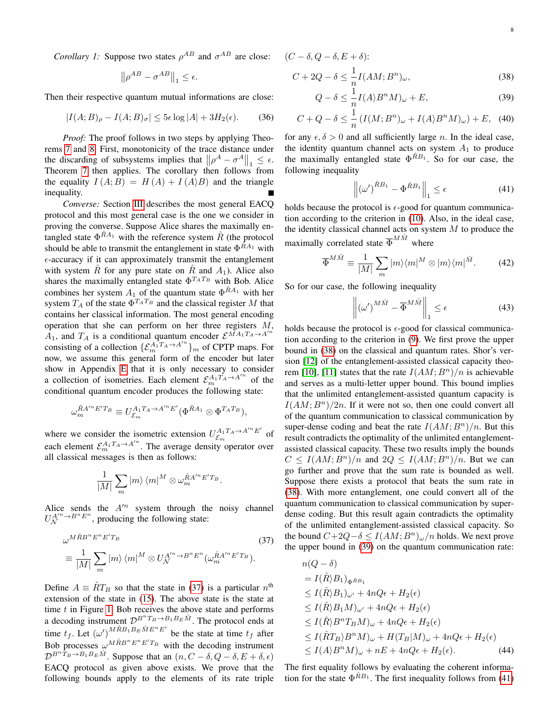*Corollary 1:* Suppose two states  $\rho^{AB}$  and  $\sigma^{AB}$  are close:

$$
\left\| \rho^{AB} - \sigma^{AB} \right\|_1 \le \epsilon.
$$

Then their respective quantum mutual informations are close:

$$
|I(A;B)_{\rho} - I(A;B)_{\sigma}| \le 5\epsilon \log |A| + 3H_2(\epsilon). \tag{36}
$$

*Proof:* The proof follows in two steps by applying Theorems [7](#page-7-7) and [8.](#page-7-8) First, monotonicity of the trace distance under the discarding of subsystems implies that  $\left\|\rho^A - \sigma^A\right\|_1 \leq \epsilon$ . Theorem [7](#page-7-7) then applies. The corollary then follows from the equality  $I(A;B) = H(A) + I(A \mid B)$  and the triangle inequality.

*Converse:* Section [III](#page-3-0) describes the most general EACQ protocol and this most general case is the one we consider in proving the converse. Suppose Alice shares the maximally entangled state  $\Phi^{\hat{R}A_1}$  with the reference system  $\hat{R}$  (the protocol should be able to transmit the entanglement in state  $\Phi^{\hat{R}A_1}$  with  $\epsilon$ -accuracy if it can approximately transmit the entanglement with system  $\hat{R}$  for any pure state on  $\hat{R}$  and  $A_1$ ). Alice also shares the maximally entangled state  $\Phi^{T_A T_B}$  with Bob. Alice combines her system  $A_1$  of the quantum state  $\Phi^{\hat{R}A_1}$  with her system  $T_A$  of the state  $\Phi^{T_A T_B}$  and the classical register M that contains her classical information. The most general encoding operation that she can perform on her three registers M,  $A_1$ , and  $T_A$  is a conditional quantum encoder  $\mathcal{E}^{\tilde{M}A_1 T_A \rightarrow A'^{n}}$ consisting of a collection  $\{\mathcal{E}_m^{A_1 T_A \rightarrow A'^n}\}_m$  of CPTP maps. For now, we assume this general form of the encoder but later show in Appendix [E](#page-22-6) that it is only necessary to consider a collection of isometries. Each element  $\mathcal{E}_m^{A_1 T_A \rightarrow A'^n}$  of the conditional quantum encoder produces the following state:

$$
\omega_m^{\hat{R}A^{\prime n}E^{\prime}T_B} \equiv U_{\mathcal{E}_m}^{A_1T_A \rightarrow A^{\prime n}E^{\prime}}(\Phi^{\hat{R}A_1} \otimes \Phi^{T_A T_B}),
$$

where we consider the isometric extension  $U_{\mathcal{E}_m}^{A_1 T_A \rightarrow A'^n E'}$  $\varepsilon_m^{A_1 T_A \to A^{++} E^{+}}$  of each element  $\mathcal{E}_m^{A_1 T_A \rightarrow A''}$ . The average density operator over all classical messages is then as follows:

$$
\frac{1}{|M|}\sum_m \ket{m}\bra{m}^M \otimes \omega_m^{\hat{R}A^{\prime n}E^{\prime}T_B}.
$$

Alice sends the  $A<sup>ln</sup>$  system through the noisy channel  $U_N^{A^{\prime n} \rightarrow B^n E^n}$ , producing the following state:

$$
\omega^{M\hat{R}B^{n}E^{n}E'T_{B}}\n\equiv\frac{1}{|M|}\sum_{m}|m\rangle\langle m|^{M}\otimes U_{\mathcal{N}}^{A'^{n}\to B^{n}E^{n}}(\omega_{m}^{\hat{R}A'^{n}E'T_{B}}).
$$
\n(37)

Define  $A = \hat{R}T_B$  so that the state in [\(37\)](#page-8-0) is a particular  $n^{\text{th}}$ extension of the state in [\(15\)](#page-4-5). The above state is the state at time  $t$  in Figure [1.](#page-4-2) Bob receives the above state and performs a decoding instrument  $\mathcal{D}^{B^{n}T_{B}\to B_{1}B_{E}\hat{M}}$ . The protocol ends at time  $t_f$ . Let  $(\omega')^{M\hat{R}B_1B_E\hat{M}E^nE'}$  be the state at time  $t_f$  after Bob processes  $\omega^{M\hat{R}B^{n}E^{n}E^{T}T_{B}}$  with the decoding instrument  $\mathcal{D}^{B^{n} \hat{T}_{B} \to B_{1} B_{E} \hat{M}}$ . Suppose that an  $(n, C - \delta, Q - \delta, E + \delta, \epsilon)$ EACQ protocol as given above exists. We prove that the following bounds apply to the elements of its rate triple  $(C - \delta, Q - \delta, E + \delta)$ :

$$
C + 2Q - \delta \le \frac{1}{n} I(AM; B^n)_{\omega},\tag{38}
$$

<span id="page-8-1"></span>
$$
Q - \delta \le \frac{1}{n} I(A \rangle B^n M)_{\omega} + E,\tag{39}
$$

$$
C + Q - \delta \le \frac{1}{n} \left( I(M; B^n)_{\omega} + I(A \rangle B^n M)_{\omega} \right) + E, \quad (40)
$$

for any  $\epsilon, \delta > 0$  and all sufficiently large n. In the ideal case, the identity quantum channel acts on system  $A_1$  to produce the maximally entangled state  $\Phi^{\hat{R}B_1}$ . So for our case, the following inequality

<span id="page-8-4"></span><span id="page-8-3"></span><span id="page-8-2"></span>
$$
\left\| \left( \omega' \right)^{\hat{R}B_1} - \Phi^{\hat{R}B_1} \right\|_1 \leq \epsilon \tag{41}
$$

holds because the protocol is  $\epsilon$ -good for quantum communication according to the criterion in [\(10\)](#page-4-8). Also, in the ideal case, the identity classical channel acts on system  $M$  to produce the maximally correlated state  $\overline{\Phi}^{M \hat{M}}$  where

$$
\overline{\Phi}^{M\hat{M}} \equiv \frac{1}{|M|} \sum_{m} |m\rangle\langle m|^M \otimes |m\rangle\langle m|^{\hat{M}}.
$$
 (42)

So for our case, the following inequality

<span id="page-8-5"></span>
$$
\left\| \left( \omega' \right)^{M \hat{M}} - \overline{\Phi}^{M \hat{M}} \right\|_{1} \le \epsilon \tag{43}
$$

holds because the protocol is  $\epsilon$ -good for classical communication according to the criterion in [\(9\)](#page-4-9). We first prove the upper bound in [\(38\)](#page-8-1) on the classical and quantum rates. Shor's version [\[12\]](#page-23-5) of the entanglement-assisted classical capacity theo-rem [\[10\]](#page-23-3), [\[11\]](#page-23-4) states that the rate  $I(AM; B<sup>n</sup>)/n$  is achievable and serves as a multi-letter upper bound. This bound implies that the unlimited entanglement-assisted quantum capacity is  $I(AM; B<sup>n</sup>)/2n$ . If it were not so, then one could convert all of the quantum communication to classical communication by super-dense coding and beat the rate  $I(AM; B<sup>n</sup>)/n$ . But this result contradicts the optimality of the unlimited entanglementassisted classical capacity. These two results imply the bounds  $C \leq I(AM; B<sup>n</sup>)/n$  and  $2Q \leq I(AM; B<sup>n</sup>)/n$ . But we can go further and prove that the sum rate is bounded as well. Suppose there exists a protocol that beats the sum rate in [\(38\)](#page-8-1). With more entanglement, one could convert all of the quantum communication to classical communication by superdense coding. But this result again contradicts the optimality of the unlimited entanglement-assisted classical capacity. So the bound  $C+2Q-\delta \leq I(AM;B^n)_{\omega}/n$  holds. We next prove the upper bound in [\(39\)](#page-8-2) on the quantum communication rate:

<span id="page-8-0"></span>
$$
n(Q - \delta)
$$
  
=  $I(\hat{R})B_1)_{\Phi^{\hat{R}B_1}}$   
 $\leq I(\hat{R})B_1)_{\omega'} + 4nQ\epsilon + H_2(\epsilon)$   
 $\leq I(\hat{R})B_1M)_{\omega'} + 4nQ\epsilon + H_2(\epsilon)$   
 $\leq I(\hat{R})B^nT_BM)_{\omega} + 4nQ\epsilon + H_2(\epsilon)$   
 $\leq I(\hat{R}T_B)B^nM)_{\omega} + H(T_B|M)_{\omega} + 4nQ\epsilon + H_2(\epsilon)$   
 $\leq I(A)B^nM)_{\omega} + nE + 4nQ\epsilon + H_2(\epsilon).$  (44)

The first equality follows by evaluating the coherent information for the state  $\Phi^{\hat{R}B_1}$ . The first inequality follows from [\(41\)](#page-8-3)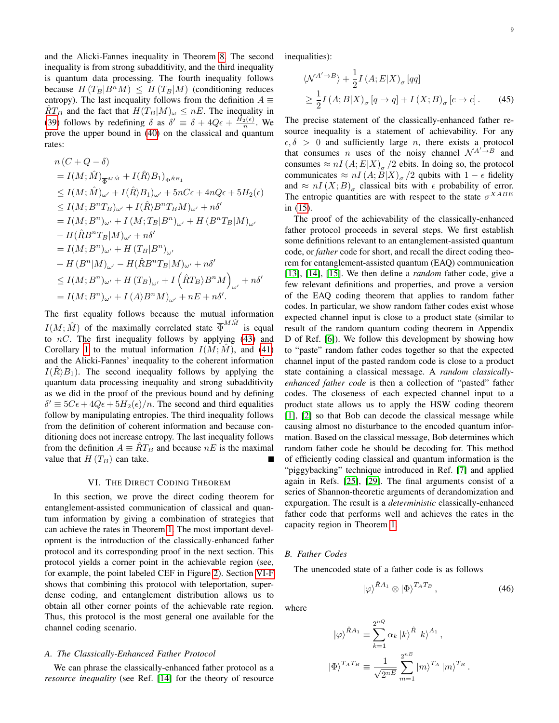and the Alicki-Fannes inequality in Theorem [8.](#page-7-8) The second inequality is from strong subadditivity, and the third inequality is quantum data processing. The fourth inequality follows because  $H(T_B|B^nM) \leq H(T_B|M)$  (conditioning reduces entropy). The last inequality follows from the definition  $A \equiv$  $\hat{R}T_B$  and the fact that  $H(T_B|M)_{\omega} \leq nE$ . The inequality in [\(39\)](#page-8-2) follows by redefining  $\delta$  as  $\delta' \equiv \delta + 4Q\epsilon + \frac{H_2(\epsilon)}{n}$ . We prove the upper bound in [\(40\)](#page-8-4) on the classical and quantum rates:

$$
n(C + Q - \delta)
$$
  
=  $I(M; \hat{M})_{\overline{\Phi}^{M\hat{M}}} + I(\hat{R})B_{1})_{\Phi^{\hat{R}B_{1}}}$   
 $\leq I(M; \hat{M})_{\omega'} + I(\hat{R})B_{1})_{\omega'} + 5nC\epsilon + 4nQ\epsilon + 5H_{2}(\epsilon)$   
 $\leq I(M; B^{n}T_{B})_{\omega'} + I(\hat{R})B^{n}T_{B}M)_{\omega'} + n\delta'$   
=  $I(M; B^{n})_{\omega'} + I(M; T_{B}|B^{n})_{\omega'} + H(B^{n}T_{B}|M)_{\omega'}$   
 $- H(\hat{R}B^{n}T_{B}|M)_{\omega'} + n\delta'$   
=  $I(M; B^{n})_{\omega'} + H(T_{B}|B^{n})_{\omega'}$   
+  $H(B^{n}|M)_{\omega'} - H(\hat{R}B^{n}T_{B}|M)_{\omega'} + n\delta'$   
 $\leq I(M; B^{n})_{\omega'} + H(T_{B})_{\omega'} + I(\hat{R}T_{B})B^{n}M)_{\omega'} + n\delta'$   
=  $I(M; B^{n})_{\omega'} + I(A)B^{n}M)_{\omega'} + nE + n\delta'.$ 

The first equality follows because the mutual information  $I(M; \hat{M})$  of the maximally correlated state  $\overline{\Phi}^{M \hat{M}}$  is equal to  $nC$ . The first inequality follows by applying [\(43\)](#page-8-5) and Corollary [1](#page-7-9) to the mutual information  $I(M; M)$ , and [\(41\)](#page-8-3) and the Alicki-Fannes' inequality to the coherent information  $I(R\rangle B_1)$ . The second inequality follows by applying the quantum data processing inequality and strong subadditivity as we did in the proof of the previous bound and by defining  $\delta' \equiv 5C\epsilon + 4Q\epsilon + 5H_2(\epsilon)/n$ . The second and third equalities follow by manipulating entropies. The third inequality follows from the definition of coherent information and because conditioning does not increase entropy. The last inequality follows from the definition  $A = RT_B$  and because  $nE$  is the maximal value that  $H(T_B)$  can take.

#### VI. THE DIRECT CODING THEOREM

<span id="page-9-0"></span>In this section, we prove the direct coding theorem for entanglement-assisted communication of classical and quantum information by giving a combination of strategies that can achieve the rates in Theorem [1.](#page-4-0) The most important development is the introduction of the classically-enhanced father protocol and its corresponding proof in the next section. This protocol yields a corner point in the achievable region (see, for example, the point labeled CEF in Figure [2\)](#page-5-1). Section [VI-F](#page-13-0) shows that combining this protocol with teleportation, superdense coding, and entanglement distribution allows us to obtain all other corner points of the achievable rate region. Thus, this protocol is the most general one available for the channel coding scenario.

#### *A. The Classically-Enhanced Father Protocol*

We can phrase the classically-enhanced father protocol as a *resource inequality* (see Ref. [\[14\]](#page-23-7) for the theory of resource inequalities):

<span id="page-9-2"></span>
$$
\langle \mathcal{N}^{A' \to B} \rangle + \frac{1}{2} I(A; E|X)_{\sigma} [qq]
$$
  
\n
$$
\geq \frac{1}{2} I(A; B|X)_{\sigma} [q \to q] + I(X; B)_{\sigma} [c \to c]. \tag{45}
$$

The precise statement of the classically-enhanced father resource inequality is a statement of achievability. For any  $\epsilon, \delta > 0$  and sufficiently large *n*, there exists a protocol that consumes *n* uses of the noisy channel  $N^{A' \rightarrow B}$  and consumes  $\approx nI(A;E|X)_{\sigma}/2$  ebits. In doing so, the protocol communicates  $\approx nI(A;B|X)_{\sigma}/2$  qubits with  $1-\epsilon$  fidelity and  $\approx nI(X;B)_{\sigma}$  classical bits with  $\epsilon$  probability of error. The entropic quantities are with respect to the state  $\sigma^{XABE}$ in [\(15\)](#page-4-5).

The proof of the achievability of the classically-enhanced father protocol proceeds in several steps. We first establish some definitions relevant to an entanglement-assisted quantum code, or *father* code for short, and recall the direct coding theorem for entanglement-assisted quantum (EAQ) communication [\[13\]](#page-23-6), [\[14\]](#page-23-7), [\[15\]](#page-23-8). We then define a *random* father code, give a few relevant definitions and properties, and prove a version of the EAQ coding theorem that applies to random father codes. In particular, we show random father codes exist whose expected channel input is close to a product state (similar to result of the random quantum coding theorem in Appendix D of Ref. [\[6\]](#page-22-5)). We follow this development by showing how to "paste" random father codes together so that the expected channel input of the pasted random code is close to a product state containing a classical message. A *random classicallyenhanced father code* is then a collection of "pasted" father codes. The closeness of each expected channel input to a product state allows us to apply the HSW coding theorem [\[1\]](#page-22-0), [\[2\]](#page-22-1) so that Bob can decode the classical message while causing almost no disturbance to the encoded quantum information. Based on the classical message, Bob determines which random father code he should be decoding for. This method of efficiently coding classical and quantum information is the "piggybacking" technique introduced in Ref. [\[7\]](#page-23-0) and applied again in Refs. [\[25\]](#page-23-18), [\[29\]](#page-23-22). The final arguments consist of a series of Shannon-theoretic arguments of derandomization and expurgation. The result is a *deterministic* classically-enhanced father code that performs well and achieves the rates in the capacity region in Theorem [1.](#page-4-0)

#### *B. Father Codes*

The unencoded state of a father code is as follows

<span id="page-9-1"></span>
$$
|\varphi\rangle^{\hat{R}A_1} \otimes |\Phi\rangle^{T_A T_B}, \qquad (46)
$$

where

$$
\left|\varphi\right\rangle^{\hat{R}A_1} \equiv \sum_{k=1}^{2^{nQ}} \alpha_k \left|k\right\rangle^{\hat{R}} \left|k\right\rangle^{A_1},
$$
  

$$
\left|\Phi\right\rangle^{T_A T_B} \equiv \frac{1}{\sqrt{2^{nE}}} \sum_{m=1}^{2^{nE}} \left|m\right\rangle^{T_A} \left|m\right\rangle^{T_B}.
$$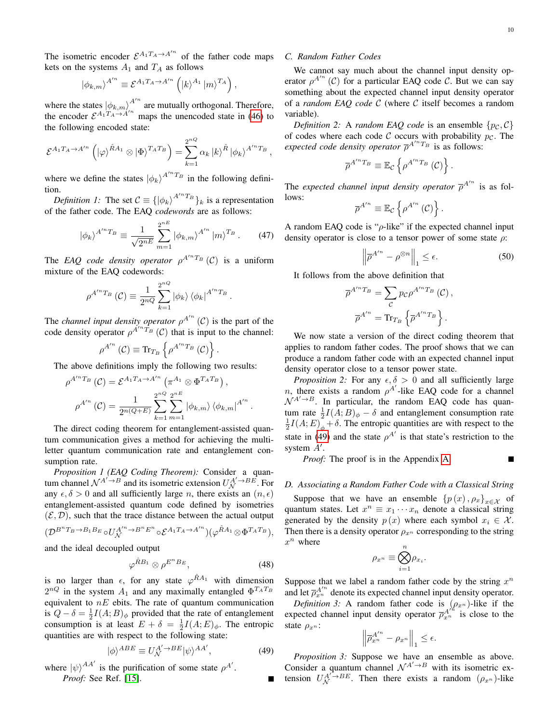The isometric encoder  $\mathcal{E}^{A_1 T_A \rightarrow A'^n}$  of the father code maps kets on the systems  $A_1$  and  $T_A$  as follows

$$
|\phi_{k,m}\rangle^{A^{\prime n}} \equiv \mathcal{E}^{A_1 T_A \to A^{\prime n}} \left( |k\rangle^{A_1} |m\rangle^{T_A} \right),
$$

where the states  $|\phi_{k,m}\rangle_A^{A'^n}$  are mutually orthogonal. Therefore, the encoder  $\mathcal{E}^{A_1 T_A \rightarrow A'^n}$  maps the unencoded state in [\(46\)](#page-9-1) to the following encoded state:

$$
\mathcal{E}^{A_1 T_A \to A'^n} \left( \ket{\varphi}^{\hat{R} A_1} \otimes \ket{\Phi}^{T_A T_B} \right) = \sum_{k=1}^{2^{nQ}} \alpha_k \ket{k}^{\hat{R}} \ket{\phi_k}^{A'^n T_B}
$$

where we define the states  $|\phi_k\rangle^{A'^n T_B}$  in the following definition.

*Definition 1:* The set  $C = {\vert \phi_k \rangle}^{A'^n T_B}$ <sub>k</sub> is a representation of the father code. The EAQ *codewords* are as follows:

$$
|\phi_k\rangle^{A^{\prime n}T_B} \equiv \frac{1}{\sqrt{2^{nE}}} \sum_{m=1}^{2^{nE}} |\phi_{k,m}\rangle^{A^{\prime n}} |m\rangle^{T_B}. \tag{47}
$$

The *EAQ code density operator*  $\rho^{A^{nT}B}$  (C) is a uniform mixture of the EAQ codewords:

$$
\rho^{A^{\prime n}T_B}(\mathcal{C}) \equiv \frac{1}{2^{nQ}} \sum_{k=1}^{2^{nQ}} |\phi_k\rangle \langle \phi_k|^{A^{\prime n}T_B}.
$$

The *channel input density operator*  $\rho^{A'^n}$  (*C*) is the part of the code density operator  $\rho^{A^m \hat{T}_B}$  (C) that is input to the channel:

$$
\rho^{A^{\prime n}}\left(\mathcal{C}\right) \equiv \mathrm{Tr}_{T_B}\left\{\rho^{A^{\prime n}T_B}\left(\mathcal{C}\right)\right\}.
$$

The above definitions imply the following two results:

$$
\rho^{A^{\prime n}T_B}(\mathcal{C}) = \mathcal{E}^{A_1 T_A \to A^{\prime n}} \left( \pi^{A_1} \otimes \Phi^{T_A T_B} \right),
$$

$$
\rho^{A^{\prime n}}(\mathcal{C}) = \frac{1}{2^{n(Q+E)}} \sum_{k=1}^{2^{nQ}} \sum_{m=1}^{2^{nE}} |\phi_{k,m}\rangle \langle \phi_{k,m}|^{A^{\prime n}}.
$$

The direct coding theorem for entanglement-assisted quantum communication gives a method for achieving the multiletter quantum communication rate and entanglement consumption rate.

*Proposition 1 (EAQ Coding Theorem):* Consider a quantum channel  $\mathcal{N}^{A' \to B}$  and its isometric extension  $U_{\mathcal{N}}^{A' \to BE}$ . For any  $\epsilon, \delta > 0$  and all sufficiently large n, there exists an  $(n, \epsilon)$ entanglement-assisted quantum code defined by isometries  $(\mathcal{E}, \mathcal{D})$ , such that the trace distance between the actual output  $(\mathcal{D}^{B^{n}T_{B}\rightarrow B_{1}B_{E}}\circ U_{\mathcal{N}}^{A^{\prime n}\rightarrow B^{n}E^{n}}\circ \mathcal{E}^{A_{1}T_{A}\rightarrow A^{\prime n}})(\varphi^{\hat{R}A_{1}}\otimes \Phi^{T_{A}T_{B}}),$ 

and the ideal decoupled output

$$
\varphi^{\hat{R}B_1} \otimes \rho^{E^n B_E}, \tag{48}
$$

is no larger than  $\epsilon$ , for any state  $\varphi^{\hat{R}A_1}$  with dimension  $2^{nQ}$  in the system  $A_1$  and any maximally entangled  $\Phi^{T_A T_B}$ equivalent to  $nE$  ebits. The rate of quantum communication is  $Q - \delta = \frac{1}{2}I(A;B)_{\phi}$  provided that the rate of entanglement consumption is at least  $E + \delta = \frac{1}{2}I(A;E)_{\phi}$ . The entropic quantities are with respect to the following state:

<span id="page-10-0"></span>
$$
|\phi\rangle^{ABE} \equiv U_{\mathcal{N}}^{A' \to BE} |\psi\rangle^{AA'}, \tag{49}
$$

where  $|\psi\rangle^{AA'}$  is the purification of some state  $\rho^{A'}$ . *Proof:* See Ref. [\[15\]](#page-23-8).

## *C. Random Father Codes*

,

We cannot say much about the channel input density operator  $\rho^{A'^n}$  (C) for a particular EAQ code C. But we can say something about the expected channel input density operator of a *random EAQ code* C (where C itself becomes a random variable).

*Definition 2:* A *random EAQ code* is an ensemble  $\{p_{\mathcal{C}}, C\}$ of codes where each code C occurs with probability  $p_c$ . The *expected code density operator*  $\overline{\rho}^{A^{n}T_{B}}$  is as follows:

$$
\overline{\rho}^{A^{\prime n}T_B} \equiv \mathbb{E}_{\mathcal{C}}\left\{\rho^{A^{\prime n}T_B}(\mathcal{C})\right\}.
$$

The *expected channel input density operator*  $\overline{\rho}^{A'^n}$  is as follows:

$$
\overline{\rho}^{A^{\prime n}} \equiv \mathbb{E}_{\mathcal{C}}\left\{\rho^{A^{\prime n}}\left(\mathcal{C}\right)\right\}.
$$

A random EAQ code is " $\rho$ -like" if the expected channel input density operator is close to a tensor power of some state  $\rho$ :

$$
\left\| \overline{\rho}^{A^{\prime n}} - \rho^{\otimes n} \right\|_{1} \le \epsilon. \tag{50}
$$

It follows from the above definition that

$$
\overline{\rho}^{A^{\prime n}T_B} = \sum_{\mathcal{C}} p_{\mathcal{C}} \rho^{A^{\prime n}T_B}(\mathcal{C}),
$$

$$
\overline{\rho}^{A^{\prime n}} = \text{Tr}_{T_B} \left\{ \overline{\rho}^{A^{\prime n}T_B} \right\}.
$$

We now state a version of the direct coding theorem that applies to random father codes. The proof shows that we can produce a random father code with an expected channel input density operator close to a tensor power state.

<span id="page-10-2"></span>*Proposition 2:* For any  $\epsilon, \delta > 0$  and all sufficiently large n, there exists a random  $\rho^{A'}$ -like EAQ code for a channel  $\mathcal{N}^{A' \rightarrow B}$ . In particular, the random EAQ code has quantum rate  $\frac{1}{2}I(A;B)_{\phi} - \delta$  and entanglement consumption rate  $\frac{1}{2}I(A;E)\Big|_{\phi}$  +  $\delta$ . The entropic quantities are with respect to the state in [\(49\)](#page-10-0) and the state  $\rho^{A'}$  is that state's restriction to the system  $A'$ .

*Proof:* The proof is in the Appendix [A.](#page-19-1)

## *D. Associating a Random Father Code with a Classical String*

Suppose that we have an ensemble  ${p(x), \rho_x}_{x \in \mathcal{X}}$  of quantum states. Let  $x^n \equiv x_1 \cdots x_n$  denote a classical string generated by the density  $p(x)$  where each symbol  $x_i \in \mathcal{X}$ . Then there is a density operator  $\rho_{x^n}$  corresponding to the string  $x^n$  where

$$
\rho_{x^n} \equiv \bigotimes_{i=1}^n \rho_{x_i}.
$$

Suppose that we label a random father code by the string  $x^n$ and let  $\overline{\rho}_{x^n}^{A'^n}$  denote its expected channel input density operator.

*Definition 3:* A random father code is  $(\rho_{x^n})$ -like if the expected channel input density operator  $\overline{\rho}_{x_n}^{A^{N_n}}$  is close to the state  $\rho_{x^n}$ :

$$
\left\|\overline{\rho}_{x^n}^{A'^n} - \rho_{x^n}\right\|_1 \leq \epsilon.
$$

<span id="page-10-1"></span>*Proposition 3:* Suppose we have an ensemble as above. Consider a quantum channel  $\mathcal{N}^{A' \rightarrow B}$  with its isometric extension  $U_N^{A'^{\rightarrow}BE}$ . Then there exists a random  $(\rho_{x^n})$ -like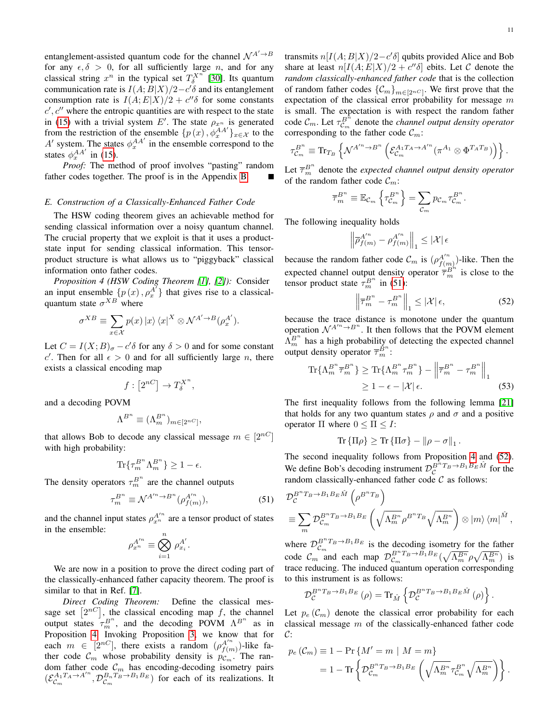entanglement-assisted quantum code for the channel  $\mathcal{N}^{A' \rightarrow B}$ for any  $\epsilon, \delta > 0$ , for all sufficiently large n, and for any classical string  $x^n$  in the typical set  $T_\delta^{X^n}$  [\[30\]](#page-23-23). Its quantum communication rate is  $I(A;B|X)/2 - c'\delta$  and its entanglement consumption rate is  $I(A;E|X)/2 + c''\delta$  for some constants  $c'$ ,  $c''$  where the entropic quantities are with respect to the state in [\(15\)](#page-4-5) with a trivial system E'. The state  $\rho_{x^n}$  is generated from the restriction of the ensemble  $\{p(x), \phi_x^{AA'}\}_{x \in \mathcal{X}}$  to the A' system. The states  $\phi_x^{AA'}$  in the ensemble correspond to the states  $\phi_x^{AA'}$  in [\(15\)](#page-4-5).

*Proof:* The method of proof involves "pasting" random father codes together. The proof is in the Appendix [B.](#page-21-0)

#### *E. Construction of a Classically-Enhanced Father Code*

The HSW coding theorem gives an achievable method for sending classical information over a noisy quantum channel. The crucial property that we exploit is that it uses a productstate input for sending classical information. This tensorproduct structure is what allows us to "piggyback" classical information onto father codes.

<span id="page-11-0"></span>*Proposition 4 (HSW Coding Theorem [\[1\]](#page-22-0), [\[2\]](#page-22-1)):* Consider an input ensemble  $\{p(x), \rho_x^{A'}\}$  that gives rise to a classicalquantum state  $\sigma^{XB}$  where

$$
\sigma^{XB} \equiv \sum_{x \in \mathcal{X}} p(x) |x\rangle \langle x|^X \otimes \mathcal{N}^{A' \to B} (\rho_x^{A'}).
$$

Let  $C = I(X; B)_{\sigma} - c'\delta$  for any  $\delta > 0$  and for some constant c'. Then for all  $\epsilon > 0$  and for all sufficiently large n, there exists a classical encoding map

$$
f:\left[ 2^{nC}\right] \rightarrow T_{\delta }^{X^{n}},
$$

and a decoding POVM

$$
\Lambda^{B^n} \equiv (\Lambda^{B^n}_m)_{m \in [2^{nC}]},
$$

that allows Bob to decode any classical message  $m \in [2^{nC}]$ with high probability:

$$
\text{Tr}\{\tau_m^{B^n}\Lambda_m^{B^n}\} \ge 1 - \epsilon.
$$

The density operators  $\tau_m^{B^n}$  are the channel outputs

<span id="page-11-1"></span>
$$
\tau_m^{B^n} \equiv \mathcal{N}^{A'^n \to B^n} (\rho_{f(m)}^{A'^n}),\tag{51}
$$

and the channel input states  $\rho_{x^n}^{A'^n}$  are a tensor product of states in the ensemble:

$$
\rho_{x^n}^{A'^n} \equiv \bigotimes_{i=1}^n \, \rho_{x_i}^{A'}.
$$

We are now in a position to prove the direct coding part of the classically-enhanced father capacity theorem. The proof is similar to that in Ref. [\[7\]](#page-23-0).

*Direct Coding Theorem:* Define the classical message set  $[2^{nC}]$ , the classical encoding map f, the channel output states  $\tau_m^{B^n}$ , and the decoding POVM  $\Lambda^{B^n}$  as in Proposition [4.](#page-11-0) Invoking Proposition [3,](#page-10-1) we know that for each  $m \in [2^{nC}]$ , there exists a random  $(\rho_{f(n)}^{A'^n})$  $f_{(m)}^{A^{\prime n}}$ )-like father code  $\mathcal{C}_m$  whose probability density is  $p_{\mathcal{C}_m}$ . The random father code  $\mathcal{C}_m$  has encoding-decoding isometry pairs  $(\mathcal{E}_{\mathcal{C}_m}^{A_1 T_A \rightarrow A^{\prime n}})$  $(\mathcal{C}_m^{A_1 T_A \rightarrow A'^n}, \mathcal{D}_{\mathcal{C}_m}^{B_n T_B \rightarrow B_1 B_E})$  for each of its realizations. It

transmits  $n[I(A;B|X)/2-c'\delta]$  qubits provided Alice and Bob share at least  $n[I(A;E|X)/2 + c''\delta]$  ebits. Let C denote the *random classically-enhanced father code* that is the collection of random father codes  ${C_m}_{m \in [2^{nC}]}$ . We first prove that the expectation of the classical error probability for message  $m$ is small. The expectation is with respect the random father code  $\mathcal{C}_m$ . Let  $\tau_{\mathcal{C}_m}^{B^{\uparrow n}}$  denote the *channel output density operator* corresponding to the father code  $\mathcal{C}_m$ :

$$
\tau_{\mathcal{C}_m}^{B^n} \equiv \text{Tr}_{T_B}\left\{\mathcal{N}^{A'^n \to B^n} \left(\mathcal{E}_{\mathcal{C}_m}^{A_1 T_A \to A'^n}(\pi^{A_1} \otimes \Phi^{T_A T_B})\right)\right\}.
$$

Let  $\overline{\tau}_{m}^{B^{n}}$  denote the *expected channel output density operator* of the random father code  $\mathcal{C}_m$ :

$$
\overline{\tau}_{m}^{B^{n}} \equiv \mathbb{E}_{\mathcal{C}_{m}}\left\{\tau_{\mathcal{C}_{m}}^{B^{n}}\right\} = \sum_{\mathcal{C}_{m}} p_{\mathcal{C}_{m}} \tau_{\mathcal{C}_{m}}^{B^{n}}.
$$

The following inequality holds

$$
\left\Vert \overline{\rho}_{f(m)}^{A^{\prime n}}-\rho_{f(m)}^{A^{\prime n}}\right\Vert _{1}\leq\left\vert \mathcal{X}\right\vert \epsilon
$$

because the random father code  $\mathcal{C}_m$  is  $(\rho_{f(n)}^{A'^n})$  $f_{(m)}^{A^{\prime n}})$ -like. Then the expected channel output density operator  $\overline{\tau}_{m}^{\overline{B}^{h}}$  is close to the tensor product state  $\tau_m^{B^n}$  in [\(51\)](#page-11-1):

<span id="page-11-3"></span><span id="page-11-2"></span>
$$
\left\|\overline{\tau}_{m}^{B^{n}} - \tau_{m}^{B^{n}}\right\|_{1} \leq |\mathcal{X}| \epsilon,
$$
\n(52)

because the trace distance is monotone under the quantum operation  $\mathcal{N}^{A^{n}\rightarrow B^{n}}$ . It then follows that the POVM element  $\hat{\Lambda}_m^{B^n}$  has a high probability of detecting the expected channel output density operator  $\overline{\tau}_{m}^{\tilde{B}^{n}}$ :

$$
\operatorname{Tr}\{\Lambda_m^{B^n} \overline{\tau}_m^{B^n}\} \ge \operatorname{Tr}\{\Lambda_m^{B^n} \tau_m^{B^n}\} - \left\| \overline{\tau}_m^{B^n} - \tau_m^{B^n} \right\|_1
$$
  
 
$$
\ge 1 - \epsilon - |\mathcal{X}| \epsilon. \tag{53}
$$

The first inequality follows from the following lemma [\[21\]](#page-23-14) that holds for any two quantum states  $\rho$  and  $\sigma$  and a positive operator Π where  $0 \leq \Pi \leq I$ :

$$
\operatorname{Tr}\left\{\Pi\rho\right\} \geq \operatorname{Tr}\left\{\Pi\sigma\right\} - \left\|\rho - \sigma\right\|_1.
$$

The second inequality follows from Proposition [4](#page-11-0) and [\(52\)](#page-11-2). We define Bob's decoding instrument  $\mathcal{D}_{\mathcal{C}}^{B^{n}T_{B}\to B_{1}B_{E}\hat{M}}$  for the random classically-enhanced father code  $C$  as follows:

$$
\mathcal{D}_{\mathcal{C}}^{B^{n}T_{B}\to B_{1}B_{E}\hat{M}}\left(\rho^{B^{n}T_{B}}\right)
$$
  

$$
\equiv \sum_{m} \mathcal{D}_{\mathcal{C}_{m}}^{B^{n}T_{B}\to B_{1}B_{E}}\left(\sqrt{\Lambda_{m}^{B^{n}}\rho^{B^{n}T_{B}}}\sqrt{\Lambda_{m}^{B^{n}}}\right) \otimes |m\rangle \langle m|^{\hat{M}},
$$

where  $\mathcal{D}_{\mathcal{C}_m}^{B^n T_B \to B_1 B_E}$  is the decoding isometry for the father code  $C_m$  and each map  $\mathcal{D}_{\mathcal{C}_m}^{B^n T_B \to \bar{B}_1 B_E}(\sqrt{\Lambda_m^{B^n}} \rho \sqrt{\Lambda_m^{B^n}})$  is trace reducing. The induced quantum operation corresponding to this instrument is as follows:

$$
\mathcal{D}_{\mathcal{C}}^{B^{n}T_{B}\to B_{1}B_{E}}\left(\rho\right)=\mathrm{Tr}_{\hat{M}}\left\{ \mathcal{D}_{\mathcal{C}}^{B^{n}T_{B}\to B_{1}B_{E}\hat{M}}\left(\rho\right)\right\} .
$$

Let  $p_e$  ( $\mathcal{C}_m$ ) denote the classical error probability for each classical message m of the classically-enhanced father code  $\mathcal{C}$ :

$$
p_e(\mathcal{C}_m) \equiv 1 - \Pr \{ M' = m \mid M = m \}
$$
  
= 1 - \Pr \left\{ \mathcal{D}\_{\mathcal{C}\_m}^{B^n T\_B \to B\_1 B\_E} \left( \sqrt{\Lambda\_m^{B^n}} \tau\_{\mathcal{C}\_m}^{B^n} \sqrt{\Lambda\_m^{B^n}} \right) \right\}.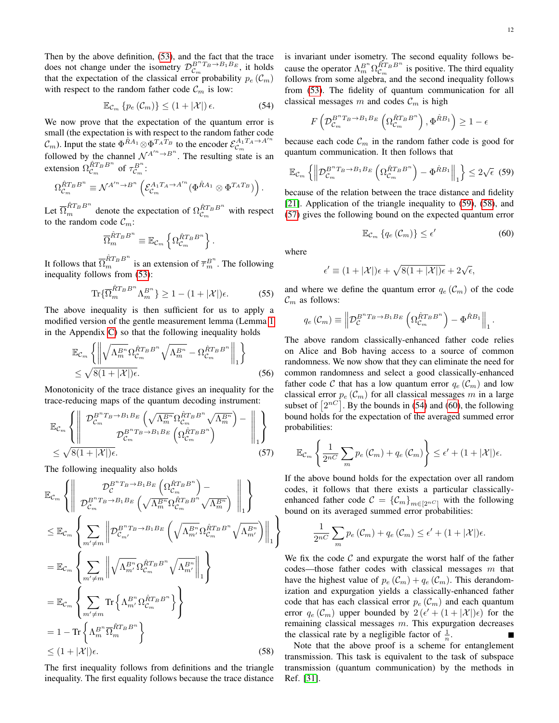Then by the above definition, [\(53\)](#page-11-3), and the fact that the trace does not change under the isometry  $\mathcal{D}_{\mathcal{C}_m}^{B^n T_B \rightarrow B_1 B_E}$ , it holds that the expectation of the classical error probability  $p_e(\mathcal{C}_m)$ with respect to the random father code  $\mathcal{C}_m$  is low:

<span id="page-12-3"></span>
$$
\mathbb{E}_{\mathcal{C}_m} \left\{ p_e \left( \mathcal{C}_m \right) \right\} \le (1 + |\mathcal{X}|) \epsilon. \tag{54}
$$

We now prove that the expectation of the quantum error is small (the expectation is with respect to the random father code  $\mathcal{C}_m$ ). Input the state  $\Phi^{\hat{R}A_1} \otimes \Phi^{T_A T_B}$  to the encoder  $\mathcal{E}_{\mathcal{C}_m}^{A_1 T_A \rightarrow A'^n}$  $C_m$ ). If the state  $\Psi^{\bullet} \otimes \Psi^{\bullet} = 0$  the encoder  $C_{C_m}$ <br>followed by the channel  $\mathcal{N}^{A/n} \rightarrow B^n$ . The resulting state is an extension  $\Omega_{\mathcal{C}_m}^{\hat{R}T_B B^n}$  of  $\tau_{\mathcal{C}_m}^{B^n}$ :

$$
\Omega_{\mathcal{C}_m}^{\hat{R}T_B B^n} \equiv \mathcal{N}^{A^{\prime n} \rightarrow B^n} \left( \mathcal{E}_{\mathcal{C}_m}^{A_1 T_A \rightarrow A^{\prime n}} (\Phi^{\hat{R} A_1} \otimes \Phi^{T_A T_B}) \right).
$$

Let  $\overline{\Omega}_m^{\hat{R}T_B B^n}$  denote the expectation of  $\Omega_{\mathcal{C}_m}^{\hat{R}T_B B^n}$  with respect to the random code  $\mathcal{C}_m$ :

$$
\overline{\Omega}_m^{\hat{R}T_B B^n} \equiv \mathbb{E}_{\mathcal{C}_m} \left\{ \Omega_{\mathcal{C}_m}^{\hat{R}T_B B^n} \right\}.
$$

It follows that  $\overline{\Omega}_m^{\hat{R}T_B B^n}$  is an extension of  $\overline{\tau}_m^{B^n}$ . The following inequality follows from [\(53\)](#page-11-3):

$$
\text{Tr}\{\overline{\Omega}_m^{\hat{R}T_B B^n} \Lambda_m^{B^n}\} \ge 1 - (1 + |\mathcal{X}|)\epsilon. \tag{55}
$$

The above inequality is then sufficient for us to apply a modified version of the gentle measurement lemma (Lemma [1](#page-22-7) in the Appendix [C\)](#page-22-7) so that the following inequality holds

$$
\mathbb{E}_{\mathcal{C}_m} \left\{ \left\| \sqrt{\Lambda_m^{B^n}} \Omega_{\mathcal{C}_m}^{\hat{R}T_B B^n} \sqrt{\Lambda_m^{B^n}} - \Omega_{\mathcal{C}_m}^{\hat{R}T_B B^n} \right\|_1 \right\} \n\leq \sqrt{8(1+|\mathcal{X}|)\epsilon}.
$$
\n(56)

Monotonicity of the trace distance gives an inequality for the trace-reducing maps of the quantum decoding instrument:

$$
\mathbb{E}_{\mathcal{C}_m} \left\{ \left\| \begin{array}{c} \mathcal{D}_{\mathcal{C}_m}^{B^n T_B \to B_1 B_E} \left( \sqrt{\Lambda_m^{B^n}} \Omega_{\mathcal{C}_m}^{\hat{R} T_B B^n} \sqrt{\Lambda_m^{B^n}} \right) - \\ \mathcal{D}_{\mathcal{C}_m}^{B^n T_B \to B_1 B_E} \left( \Omega_{\mathcal{C}_m}^{\hat{R} T_B B^n} \right) \\ \leq \sqrt{8(1 + |\mathcal{X}|) \epsilon}. \end{array} \right\}
$$
\n
$$
\leq \sqrt{8(1 + |\mathcal{X}|) \epsilon}. \tag{57}
$$

The following inequality also holds

$$
\mathbb{E}_{\mathcal{C}_m} \left\{ \left\| \begin{array}{c} \mathcal{D}_{\mathcal{C}}^{B^{n}T_{B} \to B_{1}B_{E}} \left( \Omega_{\mathcal{C}_m}^{\hat{R}T_{B}B^{n}} \right) - \\ \mathcal{D}_{\mathcal{C}_m}^{B^{n}T_{B} \to B_{1}B_{E}} \left( \sqrt{\Lambda_m^{Bn}} \Omega_{\mathcal{C}_m}^{\hat{R}T_{B}B^{n}} \sqrt{\Lambda_m^{Bn}} \right) \right\|_{1} \right\} \\ \leq \mathbb{E}_{\mathcal{C}_m} \left\{ \sum_{m' \neq m} \left\| \mathcal{D}_{\mathcal{C}_{m'}}^{B^{n}T_{B} \to B_{1}B_{E}} \left( \sqrt{\Lambda_{m'}^{Bn}} \Omega_{\mathcal{C}_m}^{\hat{R}T_{B}B^{n}} \sqrt{\Lambda_{m'}^{Bn}} \right) \right\|_{1} \right\} \\ = \mathbb{E}_{\mathcal{C}_m} \left\{ \sum_{m' \neq m} \left\| \sqrt{\Lambda_{m'}^{Bn}} \Omega_{\mathcal{C}_m}^{\hat{R}T_{B}B^{n}} \sqrt{\Lambda_{m'}^{Bn}} \right\|_{1} \right\} \\ = \mathbb{E}_{\mathcal{C}_m} \left\{ \sum_{m' \neq m} \text{Tr} \left\{ \Lambda_{m'}^{Bn} \Omega_{\mathcal{C}_m}^{\hat{R}T_{B}B^{n}} \right\} \\ = 1 - \text{Tr} \left\{ \Lambda_m^{Bn} \overline{\Omega}_m^{\hat{R}T_{B}B^{n}} \right\} \\ \leq (1 + |\mathcal{X}|) \epsilon. \end{array} \right\} \tag{58}
$$

The first inequality follows from definitions and the triangle inequality. The first equality follows because the trace distance is invariant under isometry. The second equality follows because the operator  $\Lambda_m^{B^n} \Omega_{\mathcal{C}_m}^{\tilde{R}T_B B^n}$  is positive. The third equality follows from some algebra, and the second inequality follows from [\(53\)](#page-11-3). The fidelity of quantum communication for all classical messages m and codes  $\mathcal{C}_m$  is high

$$
F\left(\mathcal{D}_{\mathcal{C}_m}^{B^n T_B \to B_1 B_E} \left(\Omega_{\mathcal{C}_m}^{\hat{R} T_B B^n}\right), \Phi^{\hat{R} B_1}\right) \ge 1 - \epsilon
$$

because each code  $\mathcal{C}_m$  in the random father code is good for quantum communication. It then follows that

<span id="page-12-0"></span>
$$
\mathbb{E}_{\mathcal{C}_m}\left\{\left\|\mathcal{D}_{\mathcal{C}_m}^{B^n T_B \to B_1 B_E} \left(\Omega_{\mathcal{C}_m}^{\hat{R} T_B B^n}\right) - \Phi^{\hat{R} B_1}\right\|_1\right\} \leq 2\sqrt{\epsilon} \tag{59}
$$

because of the relation between the trace distance and fidelity [\[21\]](#page-23-14). Application of the triangle inequality to [\(59\)](#page-12-0), [\(58\)](#page-12-1), and [\(57\)](#page-12-2) gives the following bound on the expected quantum error

<span id="page-12-4"></span>
$$
\mathbb{E}_{\mathcal{C}_m} \left\{ q_e \left( \mathcal{C}_m \right) \right\} \le \epsilon' \tag{60}
$$

where

$$
\epsilon' \equiv (1 + |\mathcal{X}|)\epsilon + \sqrt{8(1 + |\mathcal{X}|)\epsilon} + 2\sqrt{\epsilon},
$$

and where we define the quantum error  $q_e$  ( $\mathcal{C}_m$ ) of the code  $\mathcal{C}_m$  as follows:

$$
q_e\left(\mathcal{C}_m\right) \equiv \left\| \mathcal{D}_{\mathcal{C}}^{B^{n}T_B \to B_1 B_E} \left( \Omega_{\mathcal{C}_m}^{\hat{R}T_B B^{n}} \right) - \Phi^{\hat{R}B_1} \right\|_1.
$$

The above random classically-enhanced father code relies on Alice and Bob having access to a source of common randomness. We now show that they can eliminate the need for common randomness and select a good classically-enhanced father code C that has a low quantum error  $q_e$  ( $\mathcal{C}_m$ ) and low classical error  $p_e$  ( $\mathcal{C}_m$ ) for all classical messages m in a large subset of  $[2^{nC}]$ . By the bounds in [\(54\)](#page-12-3) and [\(60\)](#page-12-4), the following bound holds for the expectation of the averaged summed error probabilities:

<span id="page-12-2"></span>
$$
\mathbb{E}_{\mathcal{C}_m}\left\{\frac{1}{2^{nC}}\sum_{m}p_e\left(\mathcal{C}_m\right)+q_e\left(\mathcal{C}_m\right)\right\}\leq \epsilon'+\left(1+|\mathcal{X}|\right)\epsilon.
$$

If the above bound holds for the expectation over all random codes, it follows that there exists a particular classicallyenhanced father code  $C = {\mathcal{C}_m}_{m \in [2^{nC}]}$  with the following bound on its averaged summed error probabilities:

$$
\frac{1}{2^{nC}}\sum_{m}p_e\left(\mathcal{C}_m\right)+q_e\left(\mathcal{C}_m\right)\leq \epsilon'+(1+|\mathcal{X}|)\epsilon.
$$

We fix the code  $C$  and expurgate the worst half of the father codes—those father codes with classical messages m that have the highest value of  $p_e(\mathcal{C}_m) + q_e(\mathcal{C}_m)$ . This derandomization and expurgation yields a classically-enhanced father code that has each classical error  $p_e$  ( $\mathcal{C}_m$ ) and each quantum error  $q_e$  ( $\mathcal{C}_m$ ) upper bounded by  $2(e' + (1 + |\mathcal{X}|)\epsilon)$  for the remaining classical messages m. This expurgation decreases the classical rate by a negligible factor of  $\frac{1}{n}$ . П

<span id="page-12-1"></span>Note that the above proof is a scheme for entanglement transmission. This task is equivalent to the task of subspace transmission (quantum communication) by the methods in Ref. [\[31\]](#page-23-24).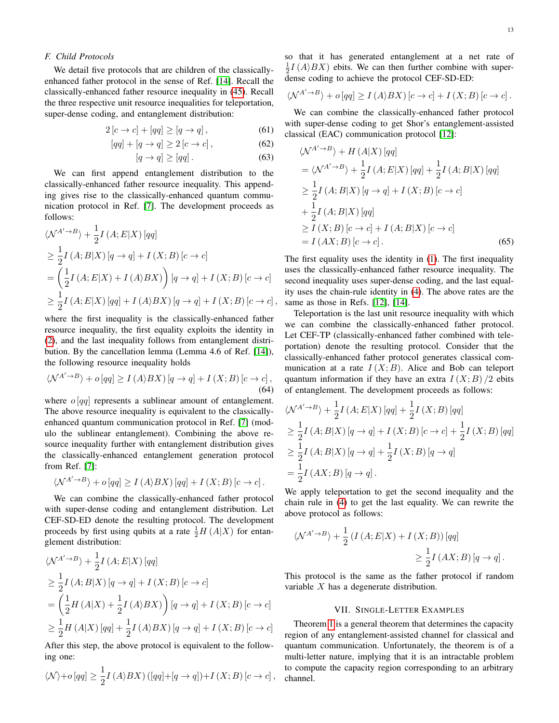## <span id="page-13-0"></span>*F. Child Protocols*

We detail five protocols that are children of the classicallyenhanced father protocol in the sense of Ref. [\[14\]](#page-23-7). Recall the classically-enhanced father resource inequality in [\(45\)](#page-9-2). Recall the three respective unit resource inequalities for teleportation, super-dense coding, and entanglement distribution:

$$
2[c \to c] + [qq] \ge [q \to q], \tag{61}
$$

$$
[qq] + [q \to q] \ge 2[c \to c], \tag{62}
$$

$$
[q \to q] \geq [qq]. \tag{63}
$$

We can first append entanglement distribution to the classically-enhanced father resource inequality. This appending gives rise to the classically-enhanced quantum communication protocol in Ref. [\[7\]](#page-23-0). The development proceeds as follows:

$$
\langle \mathcal{N}^{A' \to B} \rangle + \frac{1}{2} I(A; E|X) [qq]
$$
  
\n
$$
\geq \frac{1}{2} I(A; B|X) [q \to q] + I(X; B) [c \to c]
$$
  
\n
$$
= \left( \frac{1}{2} I(A; E|X) + I(A \rangle BX) \right) [q \to q] + I(X; B) [c \to c]
$$
  
\n
$$
\geq \frac{1}{2} I(A; E|X) [qq] + I(A \rangle BX) [q \to q] + I(X; B) [c \to c],
$$

where the first inequality is the classically-enhanced father resource inequality, the first equality exploits the identity in [\(2\)](#page-2-1), and the last inequality follows from entanglement distribution. By the cancellation lemma (Lemma 4.6 of Ref. [\[14\]](#page-23-7)), the following resource inequality holds

$$
\langle \mathcal{N}^{A' \to B} \rangle + o\left[ qq \right] \ge I\left( A \rangle BX \right)\left[ q \to q \right] + I\left( X; B \right)\left[ c \to c \right],\tag{64}
$$

where  $o$  [qq] represents a sublinear amount of entanglement. The above resource inequality is equivalent to the classicallyenhanced quantum communication protocol in Ref. [\[7\]](#page-23-0) (modulo the sublinear entanglement). Combining the above resource inequality further with entanglement distribution gives the classically-enhanced entanglement generation protocol from Ref. [\[7\]](#page-23-0):

$$
\langle \mathcal{N}^{A' \to B} \rangle + o\left[ qq \right] \ge I\left( A \rangle BX \right) \left[ qq \right] + I\left( X; B \right) \left[ c \to c \right].
$$

We can combine the classically-enhanced father protocol with super-dense coding and entanglement distribution. Let CEF-SD-ED denote the resulting protocol. The development proceeds by first using qubits at a rate  $\frac{1}{2}H(A|X)$  for entanglement distribution:

$$
\langle \mathcal{N}^{A' \to B} \rangle + \frac{1}{2} I(A; E|X) [qq]
$$
  
\n
$$
\geq \frac{1}{2} I(A; B|X) [q \to q] + I(X; B) [c \to c]
$$
  
\n
$$
= \left( \frac{1}{2} H(A|X) + \frac{1}{2} I(A\rangle BX) \right) [q \to q] + I(X; B) [c \to c]
$$
  
\n
$$
\geq \frac{1}{2} H(A|X) [qq] + \frac{1}{2} I(A\rangle BX) [q \to q] + I(X; B) [c \to c]
$$

After this step, the above protocol is equivalent to the following one:

$$
\langle \mathcal{N} \rangle + o\left[ qq \right] \ge \frac{1}{2} I\left( A \rangle BX \right) \left( \left[ qq \right] + \left[ q \rightarrow q \right] \right) + I\left( X; B \right) \left[ c \rightarrow c \right],
$$

so that it has generated entanglement at a net rate of  $\frac{1}{2}I(A\rangle BX)$  ebits. We can then further combine with superdense coding to achieve the protocol CEF-SD-ED:

$$
\langle \mathcal{N}^{A' \to B} \rangle + o\left[ qq \right] \ge I\left( A \right) BX\left[ c \to c \right] + I\left( X; B \right)\left[ c \to c \right].
$$

<span id="page-13-1"></span>We can combine the classically-enhanced father protocol with super-dense coding to get Shor's entanglement-assisted classical (EAC) communication protocol [\[12\]](#page-23-5):

<span id="page-13-2"></span>
$$
\langle \mathcal{N}^{A' \to B} \rangle + H(A|X) [qq]
$$
  
=  $\langle \mathcal{N}^{A' \to B} \rangle + \frac{1}{2} I(A; E|X) [qq] + \frac{1}{2} I(A; B|X) [qq]$   
 $\geq \frac{1}{2} I(A; B|X) [q \to q] + I(X; B) [c \to c]$   
+  $\frac{1}{2} I(A; B|X) [qq]$   
 $\geq I(X; B) [c \to c] + I(A; B|X) [c \to c]$   
=  $I(AX; B) [c \to c].$  (65)

The first equality uses the identity in [\(1\)](#page-2-2). The first inequality uses the classically-enhanced father resource inequality. The second inequality uses super-dense coding, and the last equality uses the chain-rule identity in [\(4\)](#page-2-3). The above rates are the same as those in Refs. [\[12\]](#page-23-5), [\[14\]](#page-23-7).

Teleportation is the last unit resource inequality with which we can combine the classically-enhanced father protocol. Let CEF-TP (classically-enhanced father combined with teleportation) denote the resulting protocol. Consider that the classically-enhanced father protocol generates classical communication at a rate  $I(X;B)$ . Alice and Bob can teleport quantum information if they have an extra  $I(X;B)/2$  ebits of entanglement. The development proceeds as follows:

$$
\langle \mathcal{N}^{A' \to B} \rangle + \frac{1}{2} I(A; E|X) [qq] + \frac{1}{2} I(X; B) [qq]
$$
  
\n
$$
\geq \frac{1}{2} I(A; B|X) [q \to q] + I(X; B) [c \to c] + \frac{1}{2} I(X; B) [qq]
$$
  
\n
$$
\geq \frac{1}{2} I(A; B|X) [q \to q] + \frac{1}{2} I(X; B) [q \to q]
$$
  
\n
$$
= \frac{1}{2} I(AX; B) [q \to q].
$$

We apply teleportation to get the second inequality and the chain rule in [\(4\)](#page-2-3) to get the last equality. We can rewrite the above protocol as follows:

$$
\langle \mathcal{N}^{A' \to B} \rangle + \frac{1}{2} \left( I(A; E|X) + I(X; B) \right) [qq] \ge \frac{1}{2} I(AX; B) [q \to q].
$$

This protocol is the same as the father protocol if random variable X has a degenerate distribution.

#### VII. SINGLE-LETTER EXAMPLES

Theorem [1](#page-4-0) is a general theorem that determines the capacity region of any entanglement-assisted channel for classical and quantum communication. Unfortunately, the theorem is of a multi-letter nature, implying that it is an intractable problem to compute the capacity region corresponding to an arbitrary channel.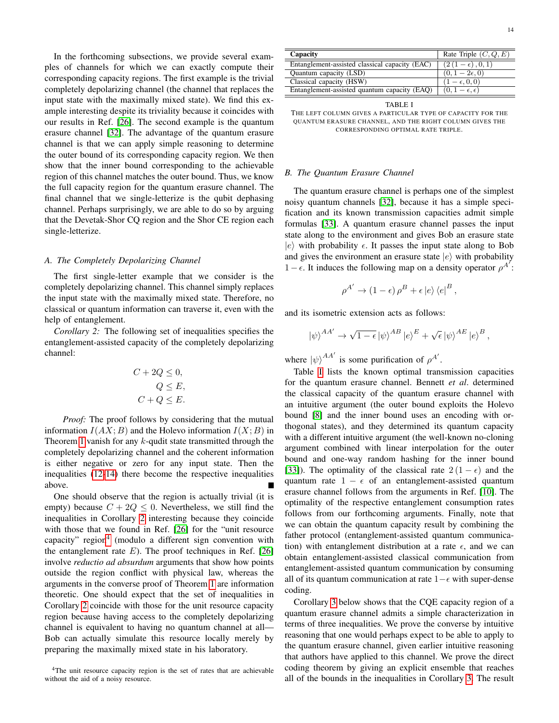In the forthcoming subsections, we provide several examples of channels for which we can exactly compute their corresponding capacity regions. The first example is the trivial completely depolarizing channel (the channel that replaces the input state with the maximally mixed state). We find this example interesting despite its triviality because it coincides with our results in Ref. [\[26\]](#page-23-19). The second example is the quantum erasure channel [\[32\]](#page-23-25). The advantage of the quantum erasure channel is that we can apply simple reasoning to determine the outer bound of its corresponding capacity region. We then show that the inner bound corresponding to the achievable region of this channel matches the outer bound. Thus, we know the full capacity region for the quantum erasure channel. The final channel that we single-letterize is the qubit dephasing channel. Perhaps surprisingly, we are able to do so by arguing that the Devetak-Shor CQ region and the Shor CE region each single-letterize.

#### *A. The Completely Depolarizing Channel*

The first single-letter example that we consider is the completely depolarizing channel. This channel simply replaces the input state with the maximally mixed state. Therefore, no classical or quantum information can traverse it, even with the help of entanglement.

<span id="page-14-0"></span>*Corollary 2:* The following set of inequalities specifies the entanglement-assisted capacity of the completely depolarizing channel:

$$
C + 2Q \le 0,
$$
  
\n
$$
Q \le E,
$$
  
\n
$$
C + Q \le E.
$$

*Proof:* The proof follows by considering that the mutual information  $I(AX; B)$  and the Holevo information  $I(X; B)$  in Theorem [1](#page-4-0) vanish for any  $k$ -qudit state transmitted through the completely depolarizing channel and the coherent information is either negative or zero for any input state. Then the inequalities [\(12-](#page-4-3)[14\)](#page-4-4) there become the respective inequalities above.

One should observe that the region is actually trivial (it is empty) because  $C + 2Q \leq 0$ . Nevertheless, we still find the inequalities in Corollary [2](#page-14-0) interesting because they coincide with those that we found in Ref. [\[26\]](#page-23-19) for the "unit resource capacity" region<sup>[4](#page-14-1)</sup> (modulo a different sign convention with the entanglement rate  $E$ ). The proof techniques in Ref. [\[26\]](#page-23-19) involve *reductio ad absurdum* arguments that show how points outside the region conflict with physical law, whereas the arguments in the converse proof of Theorem [1](#page-4-0) are information theoretic. One should expect that the set of inequalities in Corollary [2](#page-14-0) coincide with those for the unit resource capacity region because having access to the completely depolarizing channel is equivalent to having no quantum channel at all— Bob can actually simulate this resource locally merely by preparing the maximally mixed state in his laboratory.

| Capacity                                       | Rate Triple $(C, Q, E)$       |
|------------------------------------------------|-------------------------------|
| Entanglement-assisted classical capacity (EAC) | $(2(1-\epsilon),0,1)$         |
| Quantum capacity (LSD)                         | $(0, 1-2\epsilon, 0)$         |
| Classical capacity (HSW)                       | $(1 - \epsilon, 0, 0)$        |
| Entanglement-assisted quantum capacity (EAQ)   | $(0, 1 - \epsilon, \epsilon)$ |

<span id="page-14-2"></span>

| TABLE I                                                        |
|----------------------------------------------------------------|
| THE LEFT COLUMN GIVES A PARTICULAR TYPE OF CAPACITY FOR THE    |
| <b>OUANTUM ERASURE CHANNEL, AND THE RIGHT COLUMN GIVES THE</b> |
| CORRESPONDING OPTIMAL RATE TRIPLE.                             |

#### *B. The Quantum Erasure Channel*

The quantum erasure channel is perhaps one of the simplest noisy quantum channels [\[32\]](#page-23-25), because it has a simple specification and its known transmission capacities admit simple formulas [\[33\]](#page-23-26). A quantum erasure channel passes the input state along to the environment and gives Bob an erasure state  $|e\rangle$  with probability  $\epsilon$ . It passes the input state along to Bob and gives the environment an erasure state  $|e\rangle$  with probability  $1 - \epsilon$ . It induces the following map on a density operator  $\rho^{A'}$ :

$$
\rho^{A'} \to (1 - \epsilon) \rho^{B} + \epsilon |e\rangle \langle e|^{B} ,
$$

and its isometric extension acts as follows:

$$
\left| \psi \right\rangle ^{AA'} \rightarrow \sqrt{1-\epsilon} \left| \psi \right\rangle ^{AB}\left| e \right\rangle ^{E} + \sqrt{\epsilon} \left| \psi \right\rangle ^{AE}\left| e \right\rangle ^{B},
$$

where  $|\psi\rangle^{AA'}$  is some purification of  $\rho^{A'}$ .

Table [I](#page-14-2) lists the known optimal transmission capacities for the quantum erasure channel. Bennett *et al*. determined the classical capacity of the quantum erasure channel with an intuitive argument (the outer bound exploits the Holevo bound [\[8\]](#page-23-1) and the inner bound uses an encoding with orthogonal states), and they determined its quantum capacity with a different intuitive argument (the well-known no-cloning argument combined with linear interpolation for the outer bound and one-way random hashing for the inner bound [\[33\]](#page-23-26)). The optimality of the classical rate  $2(1 - \epsilon)$  and the quantum rate  $1 - \epsilon$  of an entanglement-assisted quantum erasure channel follows from the arguments in Ref. [\[10\]](#page-23-3). The optimality of the respective entanglement consumption rates follows from our forthcoming arguments. Finally, note that we can obtain the quantum capacity result by combining the father protocol (entanglement-assisted quantum communication) with entanglement distribution at a rate  $\epsilon$ , and we can obtain entanglement-assisted classical communication from entanglement-assisted quantum communication by consuming all of its quantum communication at rate  $1-\epsilon$  with super-dense coding.

Corollary [3](#page-15-0) below shows that the CQE capacity region of a quantum erasure channel admits a simple characterization in terms of three inequalities. We prove the converse by intuitive reasoning that one would perhaps expect to be able to apply to the quantum erasure channel, given earlier intuitive reasoning that authors have applied to this channel. We prove the direct coding theorem by giving an explicit ensemble that reaches all of the bounds in the inequalities in Corollary [3.](#page-15-0) The result

<span id="page-14-1"></span><sup>&</sup>lt;sup>4</sup>The unit resource capacity region is the set of rates that are achievable without the aid of a noisy resource.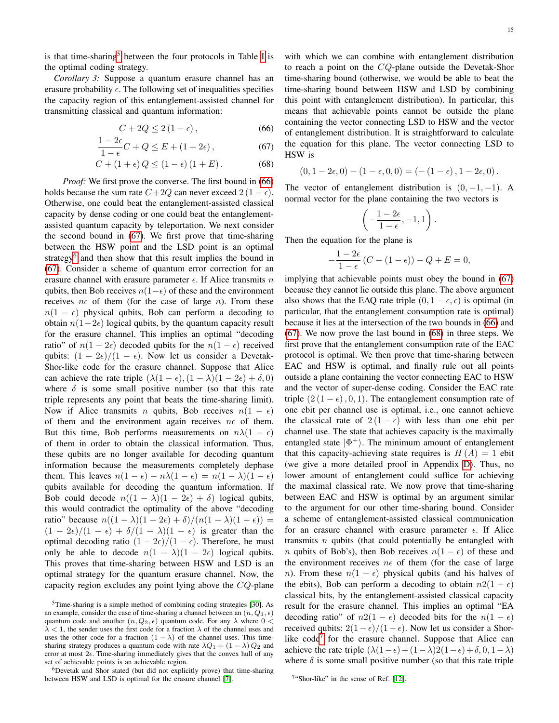is that time-sharing<sup>[5](#page-15-1)</sup> between the four protocols in Table [I](#page-14-2) is the optimal coding strategy.

<span id="page-15-0"></span>*Corollary 3:* Suppose a quantum erasure channel has an erasure probability  $\epsilon$ . The following set of inequalities specifies the capacity region of this entanglement-assisted channel for transmitting classical and quantum information:

$$
C + 2Q \le 2(1 - \epsilon), \tag{66}
$$

$$
\frac{1-2\epsilon}{1-\epsilon}C + Q \le E + (1-2\epsilon),\tag{67}
$$

$$
C + (1 + \epsilon) Q \le (1 - \epsilon) (1 + E).
$$
 (68)

*Proof:* We first prove the converse. The first bound in [\(66\)](#page-15-2) holds because the sum rate  $C+2Q$  can never exceed  $2(1-\epsilon)$ . Otherwise, one could beat the entanglement-assisted classical capacity by dense coding or one could beat the entanglementassisted quantum capacity by teleportation. We next consider the second bound in [\(67\)](#page-15-3). We first prove that time-sharing between the HSW point and the LSD point is an optimal strategy<sup>[6](#page-15-4)</sup> and then show that this result implies the bound in [\(67\)](#page-15-3). Consider a scheme of quantum error correction for an erasure channel with erasure parameter  $\epsilon$ . If Alice transmits n qubits, then Bob receives  $n(1-\epsilon)$  of these and the environment receives  $n \epsilon$  of them (for the case of large n). From these  $n(1 - \epsilon)$  physical qubits, Bob can perform a decoding to obtain  $n(1-2\epsilon)$  logical qubits, by the quantum capacity result for the erasure channel. This implies an optimal "decoding ratio" of  $n(1 - 2\epsilon)$  decoded qubits for the  $n(1 - \epsilon)$  received qubits:  $(1 - 2\epsilon)/(1 - \epsilon)$ . Now let us consider a Devetak-Shor-like code for the erasure channel. Suppose that Alice can achieve the rate triple  $(\lambda(1 - \epsilon), (1 - \lambda)(1 - 2\epsilon) + \delta, 0)$ where  $\delta$  is some small positive number (so that this rate triple represents any point that beats the time-sharing limit). Now if Alice transmits n qubits, Bob receives  $n(1 - \epsilon)$ of them and the environment again receives  $n\epsilon$  of them. But this time, Bob performs measurements on  $n\lambda(1 - \epsilon)$ of them in order to obtain the classical information. Thus, these qubits are no longer available for decoding quantum information because the measurements completely dephase them. This leaves  $n(1 - \epsilon) - n\lambda(1 - \epsilon) = n(1 - \lambda)(1 - \epsilon)$ qubits available for decoding the quantum information. If Bob could decode  $n((1 - \lambda)(1 - 2\epsilon) + \delta)$  logical qubits, this would contradict the optimality of the above "decoding ratio" because  $n((1 - \lambda)(1 - 2\epsilon) + \delta)/(n(1 - \lambda)(1 - \epsilon)) =$  $(1 - 2\epsilon)/(1 - \epsilon) + \delta/(1 - \lambda)(1 - \epsilon)$  is greater than the optimal decoding ratio  $(1 - 2\epsilon)/(1 - \epsilon)$ . Therefore, he must only be able to decode  $n(1 - \lambda)(1 - 2\epsilon)$  logical qubits. This proves that time-sharing between HSW and LSD is an optimal strategy for the quantum erasure channel. Now, the capacity region excludes any point lying above the CQ-plane with which we can combine with entanglement distribution to reach a point on the CQ-plane outside the Devetak-Shor time-sharing bound (otherwise, we would be able to beat the time-sharing bound between HSW and LSD by combining this point with entanglement distribution). In particular, this means that achievable points cannot be outside the plane containing the vector connecting LSD to HSW and the vector of entanglement distribution. It is straightforward to calculate the equation for this plane. The vector connecting LSD to HSW is

<span id="page-15-3"></span><span id="page-15-2"></span>
$$
(0, 1-2\epsilon, 0) - (1-\epsilon, 0, 0) = (-(1-\epsilon), 1-2\epsilon, 0).
$$

<span id="page-15-5"></span>The vector of entanglement distribution is  $(0, -1, -1)$ . A normal vector for the plane containing the two vectors is

$$
\left(-\frac{1-2\epsilon}{1-\epsilon},-1,1\right).
$$

Then the equation for the plane is

$$
-\frac{1-2\epsilon}{1-\epsilon}\left(C - (1-\epsilon)\right) - Q + E = 0,
$$

implying that achievable points must obey the bound in [\(67\)](#page-15-3) because they cannot lie outside this plane. The above argument also shows that the EAQ rate triple  $(0, 1 - \epsilon, \epsilon)$  is optimal (in particular, that the entanglement consumption rate is optimal) because it lies at the intersection of the two bounds in [\(66\)](#page-15-2) and [\(67\)](#page-15-3). We now prove the last bound in [\(68\)](#page-15-5) in three steps. We first prove that the entanglement consumption rate of the EAC protocol is optimal. We then prove that time-sharing between EAC and HSW is optimal, and finally rule out all points outside a plane containing the vector connecting EAC to HSW and the vector of super-dense coding. Consider the EAC rate triple  $(2 (1 - \epsilon), 0, 1)$ . The entanglement consumption rate of one ebit per channel use is optimal, i.e., one cannot achieve the classical rate of  $2(1 - \epsilon)$  with less than one ebit per channel use. The state that achieves capacity is the maximally entangled state  $|\Phi^+\rangle$ . The minimum amount of entanglement that this capacity-achieving state requires is  $H(A) = 1$  ebit (we give a more detailed proof in Appendix [D\)](#page-22-8). Thus, no lower amount of entanglement could suffice for achieving the maximal classical rate. We now prove that time-sharing between EAC and HSW is optimal by an argument similar to the argument for our other time-sharing bound. Consider a scheme of entanglement-assisted classical communication for an erasure channel with erasure parameter  $\epsilon$ . If Alice transmits  $n$  qubits (that could potentially be entangled with *n* qubits of Bob's), then Bob receives  $n(1 - \epsilon)$  of these and the environment receives  $n\epsilon$  of them (for the case of large n). From these  $n(1 - \epsilon)$  physical qubits (and his halves of the ebits), Bob can perform a decoding to obtain  $n2(1 - \epsilon)$ classical bits, by the entanglement-assisted classical capacity result for the erasure channel. This implies an optimal "EA decoding ratio" of  $n2(1 - \epsilon)$  decoded bits for the  $n(1 - \epsilon)$ received qubits:  $2(1-\epsilon)/(1-\epsilon)$ . Now let us consider a Shorlike  $code^7$  $code^7$  for the erasure channel. Suppose that Alice can achieve the rate triple  $(\lambda(1-\epsilon) + (1-\lambda)2(1-\epsilon) + \delta, 0, 1-\lambda)$ where  $\delta$  is some small positive number (so that this rate triple

<span id="page-15-1"></span><sup>5</sup>Time-sharing is a simple method of combining coding strategies [\[30\]](#page-23-23). As an example, consider the case of time-sharing a channel between an  $(n, Q_1, \epsilon)$ quantum code and another  $(n, Q_2, \epsilon)$  quantum code. For any  $\lambda$  where  $0 <$  $\lambda$  < 1, the sender uses the first code for a fraction  $\lambda$  of the channel uses and uses the other code for a fraction  $(1 - \lambda)$  of the channel uses. This timesharing strategy produces a quantum code with rate  $\lambda Q_1 + (1 - \lambda) Q_2$  and error at most  $2\epsilon$ . Time-sharing immediately gives that the convex hull of any set of achievable points is an achievable region.

<span id="page-15-4"></span> $6$ Devetak and Shor stated (but did not explicitly prove) that time-sharing between HSW and LSD is optimal for the erasure channel [\[7\]](#page-23-0).

<span id="page-15-6"></span> $7$ "Shor-like" in the sense of Ref. [\[12\]](#page-23-5).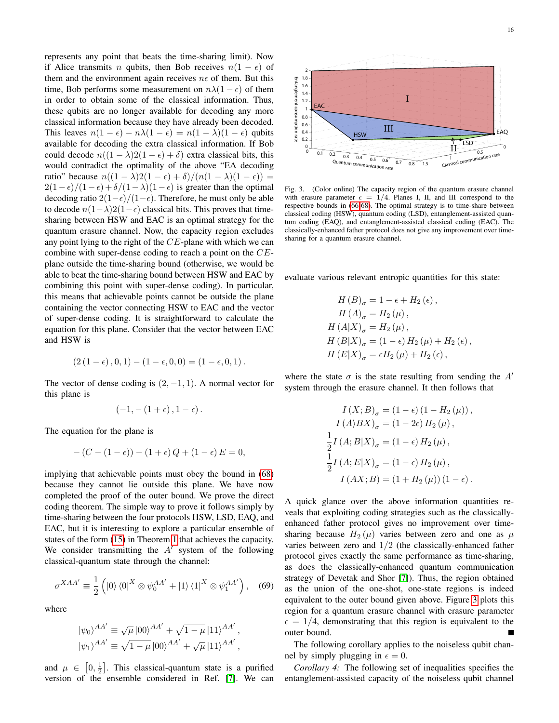represents any point that beats the time-sharing limit). Now if Alice transmits *n* qubits, then Bob receives  $n(1 - \epsilon)$  of them and the environment again receives  $n\epsilon$  of them. But this time, Bob performs some measurement on  $n\lambda(1-\epsilon)$  of them in order to obtain some of the classical information. Thus, these qubits are no longer available for decoding any more classical information because they have already been decoded. This leaves  $n(1 - \epsilon) - n\lambda(1 - \epsilon) = n(1 - \lambda)(1 - \epsilon)$  qubits available for decoding the extra classical information. If Bob could decode  $n((1 - \lambda)2(1 - \epsilon) + \delta)$  extra classical bits, this would contradict the optimality of the above "EA decoding ratio" because  $n((1 - \lambda)2(1 - \epsilon) + \delta)/(n(1 - \lambda)(1 - \epsilon)) =$  $2(1-\epsilon)/(1-\epsilon) + \delta/(1-\lambda)(1-\epsilon)$  is greater than the optimal decoding ratio  $2(1-\epsilon)/(1-\epsilon)$ . Therefore, he must only be able to decode  $n(1-\lambda)2(1-\epsilon)$  classical bits. This proves that timesharing between HSW and EAC is an optimal strategy for the quantum erasure channel. Now, the capacity region excludes any point lying to the right of the  $CE$ -plane with which we can combine with super-dense coding to reach a point on the CEplane outside the time-sharing bound (otherwise, we would be able to beat the time-sharing bound between HSW and EAC by combining this point with super-dense coding). In particular, this means that achievable points cannot be outside the plane containing the vector connecting HSW to EAC and the vector of super-dense coding. It is straightforward to calculate the equation for this plane. Consider that the vector between EAC and HSW is

$$
(2(1-\epsilon),0,1)-(1-\epsilon,0,0)=(1-\epsilon,0,1).
$$

The vector of dense coding is  $(2, -1, 1)$ . A normal vector for this plane is

$$
\left(-1,-\left(1+\epsilon\right),1-\epsilon\right).
$$

The equation for the plane is

$$
- (C - (1 - \epsilon)) - (1 + \epsilon) Q + (1 - \epsilon) E = 0,
$$

implying that achievable points must obey the bound in [\(68\)](#page-15-5) because they cannot lie outside this plane. We have now completed the proof of the outer bound. We prove the direct coding theorem. The simple way to prove it follows simply by time-sharing between the four protocols HSW, LSD, EAQ, and EAC, but it is interesting to explore a particular ensemble of states of the form [\(15\)](#page-4-5) in Theorem [1](#page-4-0) that achieves the capacity. We consider transmitting the  $A'$  system of the following classical-quantum state through the channel:

<span id="page-16-1"></span>
$$
\sigma^{XAA'} \equiv \frac{1}{2} \left( \left| 0 \right\rangle \left\langle 0 \right|^{X} \otimes \psi_0^{AA'} + \left| 1 \right\rangle \left\langle 1 \right|^{X} \otimes \psi_1^{AA'} \right), \quad (69)
$$

where

$$
|\psi_0\rangle^{AA'} \equiv \sqrt{\mu} |00\rangle^{AA'} + \sqrt{1-\mu} |11\rangle^{AA'},
$$
  

$$
|\psi_1\rangle^{AA'} \equiv \sqrt{1-\mu} |00\rangle^{AA'} + \sqrt{\mu} |11\rangle^{AA'},
$$

and  $\mu \in [0, \frac{1}{2}]$ . This classical-quantum state is a purified version of the ensemble considered in Ref. [\[7\]](#page-23-0). We can



<span id="page-16-0"></span>Fig. 3. (Color online) The capacity region of the quantum erasure channel with erasure parameter  $\epsilon = 1/4$ . Planes I, II, and III correspond to the respective bounds in [\(66-](#page-15-2)[68\)](#page-15-5). The optimal strategy is to time-share between classical coding (HSW), quantum coding (LSD), entanglement-assisted quantum coding (EAQ), and entanglement-assisted classical coding (EAC). The classically-enhanced father protocol does not give any improvement over timesharing for a quantum erasure channel.

evaluate various relevant entropic quantities for this state:

$$
\begin{split} H\left(B\right)_{\sigma} & = 1-\epsilon+H_{2}\left(\epsilon\right),\\ H\left(A\right)_{\sigma} & = H_{2}\left(\mu\right),\\ H\left(A|X\right)_{\sigma} & = H_{2}\left(\mu\right),\\ H\left(B|X\right)_{\sigma} & = (1-\epsilon)\,H_{2}\left(\mu\right)+H_{2}\left(\epsilon\right),\\ H\left(E|X\right)_{\sigma} & = \epsilon H_{2}\left(\mu\right)+H_{2}\left(\epsilon\right), \end{split}
$$

where the state  $\sigma$  is the state resulting from sending the A' system through the erasure channel. It then follows that

$$
\begin{split} I\left(X;B\right)_{\sigma} &= \left(1-\epsilon\right)\left(1-H_{2}\left(\mu\right)\right),\\ I\left(A\rangle BX\right)_{\sigma} &= \left(1-2\epsilon\right)H_{2}\left(\mu\right),\\ \frac{1}{2}I\left(A;B|X\right)_{\sigma} &= \left(1-\epsilon\right)H_{2}\left(\mu\right),\\ \frac{1}{2}I\left(A;E|X\right)_{\sigma} &= \left(1-\epsilon\right)H_{2}\left(\mu\right),\\ I\left(AX;B\right) &= \left(1+H_{2}\left(\mu\right)\right)\left(1-\epsilon\right). \end{split}
$$

A quick glance over the above information quantities reveals that exploiting coding strategies such as the classicallyenhanced father protocol gives no improvement over timesharing because  $H_2(\mu)$  varies between zero and one as  $\mu$ varies between zero and 1/2 (the classically-enhanced father protocol gives exactly the same performance as time-sharing, as does the classically-enhanced quantum communication strategy of Devetak and Shor [\[7\]](#page-23-0)). Thus, the region obtained as the union of the one-shot, one-state regions is indeed equivalent to the outer bound given above. Figure [3](#page-16-0) plots this region for a quantum erasure channel with erasure parameter  $\epsilon = 1/4$ , demonstrating that this region is equivalent to the outer bound.

The following corollary applies to the noiseless qubit channel by simply plugging in  $\epsilon = 0$ .

*Corollary 4:* The following set of inequalities specifies the entanglement-assisted capacity of the noiseless qubit channel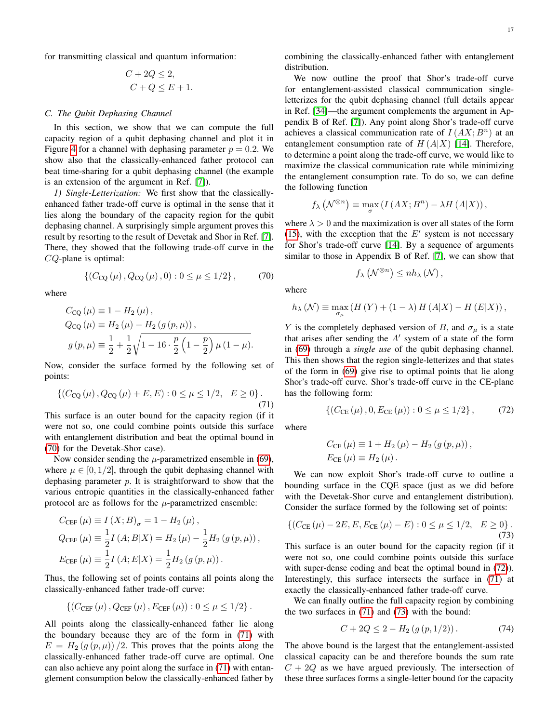for transmitting classical and quantum information:

$$
C + 2Q \le 2,
$$
  

$$
C + Q \le E + 1.
$$

#### *C. The Qubit Dephasing Channel*

In this section, we show that we can compute the full capacity region of a qubit dephasing channel and plot it in Figure [4](#page-18-0) for a channel with dephasing parameter  $p = 0.2$ . We show also that the classically-enhanced father protocol can beat time-sharing for a qubit dephasing channel (the example is an extension of the argument in Ref. [\[7\]](#page-23-0)).

*1) Single-Letterization:* We first show that the classicallyenhanced father trade-off curve is optimal in the sense that it lies along the boundary of the capacity region for the qubit dephasing channel. A surprisingly simple argument proves this result by resorting to the result of Devetak and Shor in Ref. [\[7\]](#page-23-0). There, they showed that the following trade-off curve in the  $CQ$ -plane is optimal:

<span id="page-17-0"></span>
$$
\{(C_{\rm CQ}(\mu), Q_{\rm CQ}(\mu), 0) : 0 \le \mu \le 1/2\},\qquad(70)
$$

where

$$
C_{\text{CQ}}(\mu) \equiv 1 - H_2(\mu),
$$
  
\n
$$
Q_{\text{CQ}}(\mu) \equiv H_2(\mu) - H_2(g(p, \mu)),
$$
  
\n
$$
g(p, \mu) \equiv \frac{1}{2} + \frac{1}{2} \sqrt{1 - 16 \cdot \frac{p}{2} \left(1 - \frac{p}{2}\right) \mu (1 - \mu)}.
$$

Now, consider the surface formed by the following set of points:

<span id="page-17-1"></span>
$$
\{ (C_{\rm CQ}(\mu), Q_{\rm CQ}(\mu) + E, E) : 0 \le \mu \le 1/2, E \ge 0 \}.
$$
\n(71)

This surface is an outer bound for the capacity region (if it were not so, one could combine points outside this surface with entanglement distribution and beat the optimal bound in [\(70\)](#page-17-0) for the Devetak-Shor case).

Now consider sending the  $\mu$ -parametrized ensemble in [\(69\)](#page-16-1), where  $\mu \in [0, 1/2]$ , through the qubit dephasing channel with dephasing parameter  $p$ . It is straightforward to show that the various entropic quantities in the classically-enhanced father protocol are as follows for the  $\mu$ -parametrized ensemble:

$$
C_{\text{CEF}} (\mu) \equiv I (X; B)_{\sigma} = 1 - H_2 (\mu) ,
$$
  
\n
$$
Q_{\text{CEF}} (\mu) \equiv \frac{1}{2} I (A; B | X) = H_2 (\mu) - \frac{1}{2} H_2 (g (p, \mu)) ,
$$
  
\n
$$
E_{\text{CEF}} (\mu) \equiv \frac{1}{2} I (A; E | X) = \frac{1}{2} H_2 (g (p, \mu)) .
$$

Thus, the following set of points contains all points along the classically-enhanced father trade-off curve:

$$
\{(C_{\text{CEF}}(\mu), Q_{\text{CEF}}(\mu), E_{\text{CEF}}(\mu)) : 0 \le \mu \le 1/2 \}.
$$

All points along the classically-enhanced father lie along the boundary because they are of the form in [\(71\)](#page-17-1) with  $E = H_2(g(p,\mu))/2$ . This proves that the points along the classically-enhanced father trade-off curve are optimal. One can also achieve any point along the surface in [\(71\)](#page-17-1) with entanglement consumption below the classically-enhanced father by combining the classically-enhanced father with entanglement distribution.

We now outline the proof that Shor's trade-off curve for entanglement-assisted classical communication singleletterizes for the qubit dephasing channel (full details appear in Ref. [\[34\]](#page-23-27)—the argument complements the argument in Appendix B of Ref. [\[7\]](#page-23-0)). Any point along Shor's trade-off curve achieves a classical communication rate of  $I(AX; B<sup>n</sup>)$  at an entanglement consumption rate of  $H(A|X)$  [\[14\]](#page-23-7). Therefore, to determine a point along the trade-off curve, we would like to maximize the classical communication rate while minimizing the entanglement consumption rate. To do so, we can define the following function

$$
f_{\lambda}\left(\mathcal{N}^{\otimes n}\right) \equiv \max_{\sigma}\left(I\left(AX;B^{n}\right) - \lambda H\left(A|X\right)\right),\,
$$

where  $\lambda > 0$  and the maximization is over all states of the form [\(15\)](#page-4-5), with the exception that the  $E'$  system is not necessary for Shor's trade-off curve [\[14\]](#page-23-7). By a sequence of arguments similar to those in Appendix B of Ref. [\[7\]](#page-23-0), we can show that

$$
f_{\lambda}\left(\mathcal{N}^{\otimes n}\right)\leq nh_{\lambda}\left(\mathcal{N}\right),\,
$$

where

$$
h_{\lambda}(N) \equiv \max_{\sigma_{\mu}} (H(Y) + (1 - \lambda) H(A|X) - H(E|X)),
$$

Y is the completely dephased version of B, and  $\sigma_{\mu}$  is a state that arises after sending the  $A'$  system of a state of the form in [\(69\)](#page-16-1) through a *single use* of the qubit dephasing channel. This then shows that the region single-letterizes and that states of the form in [\(69\)](#page-16-1) give rise to optimal points that lie along Shor's trade-off curve. Shor's trade-off curve in the CE-plane has the following form:

<span id="page-17-2"></span>
$$
\{(C_{\text{CE}}(\mu), 0, E_{\text{CE}}(\mu)) : 0 \le \mu \le 1/2\},\qquad(72)
$$

where

$$
C_{CE} (\mu) \equiv 1 + H_2 (\mu) - H_2 (g (p, \mu)),
$$
  
\n $E_{CE} (\mu) \equiv H_2 (\mu).$ 

We can now exploit Shor's trade-off curve to outline a bounding surface in the CQE space (just as we did before with the Devetak-Shor curve and entanglement distribution). Consider the surface formed by the following set of points:

<span id="page-17-3"></span>
$$
\{(C_{\text{CE}}(\mu) - 2E, E, E_{\text{CE}}(\mu) - E) : 0 \le \mu \le 1/2, E \ge 0\}.
$$
\n(73)

This surface is an outer bound for the capacity region (if it were not so, one could combine points outside this surface with super-dense coding and beat the optimal bound in [\(72\)](#page-17-2)). Interestingly, this surface intersects the surface in [\(71\)](#page-17-1) at exactly the classically-enhanced father trade-off curve.

We can finally outline the full capacity region by combining the two surfaces in [\(71\)](#page-17-1) and [\(73\)](#page-17-3) with the bound:

<span id="page-17-4"></span>
$$
C + 2Q \le 2 - H_2(g(p, 1/2)).
$$
 (74)

The above bound is the largest that the entanglement-assisted classical capacity can be and therefore bounds the sum rate  $C + 2Q$  as we have argued previously. The intersection of these three surfaces forms a single-letter bound for the capacity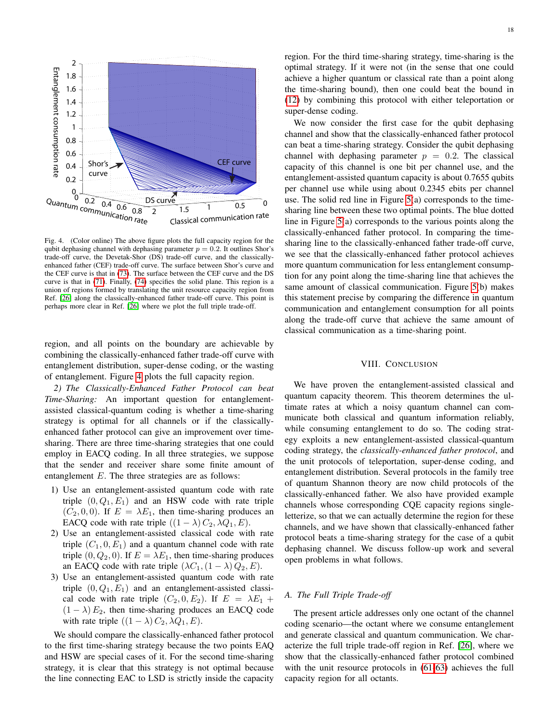

<span id="page-18-0"></span>Fig. 4. (Color online) The above figure plots the full capacity region for the qubit dephasing channel with dephasing parameter  $p = 0.2$ . It outlines Shor's trade-off curve, the Devetak-Shor (DS) trade-off curve, and the classicallyenhanced father (CEF) trade-off curve. The surface between Shor's curve and the CEF curve is that in [\(73\)](#page-17-3). The surface between the CEF curve and the DS curve is that in [\(71\)](#page-17-1). Finally, [\(74\)](#page-17-4) specifies the solid plane. This region is a union of regions formed by translating the unit resource capacity region from Ref. [\[26\]](#page-23-19) along the classically-enhanced father trade-off curve. This point is perhaps more clear in Ref. [\[26\]](#page-23-19) where we plot the full triple trade-off.

region, and all points on the boundary are achievable by combining the classically-enhanced father trade-off curve with entanglement distribution, super-dense coding, or the wasting of entanglement. Figure [4](#page-18-0) plots the full capacity region.

*2) The Classically-Enhanced Father Protocol can beat Time-Sharing:* An important question for entanglementassisted classical-quantum coding is whether a time-sharing strategy is optimal for all channels or if the classicallyenhanced father protocol can give an improvement over timesharing. There are three time-sharing strategies that one could employ in EACQ coding. In all three strategies, we suppose that the sender and receiver share some finite amount of entanglement  $E$ . The three strategies are as follows:

- 1) Use an entanglement-assisted quantum code with rate triple  $(0, Q_1, E_1)$  and an HSW code with rate triple  $(C_2, 0, 0)$ . If  $E = \lambda E_1$ , then time-sharing produces an EACQ code with rate triple  $((1 - \lambda) C_2, \lambda Q_1, E)$ .
- 2) Use an entanglement-assisted classical code with rate triple  $(C_1, 0, E_1)$  and a quantum channel code with rate triple  $(0, Q_2, 0)$ . If  $E = \lambda E_1$ , then time-sharing produces an EACQ code with rate triple  $(\lambda C_1,(1 - \lambda) Q_2, E)$ .
- 3) Use an entanglement-assisted quantum code with rate triple  $(0, Q_1, E_1)$  and an entanglement-assisted classical code with rate triple  $(C_2, 0, E_2)$ . If  $E = \lambda E_1 +$  $(1 - \lambda) E_2$ , then time-sharing produces an EACQ code with rate triple  $((1 - \lambda) C_2, \lambda Q_1, E)$ .

We should compare the classically-enhanced father protocol to the first time-sharing strategy because the two points EAQ and HSW are special cases of it. For the second time-sharing strategy, it is clear that this strategy is not optimal because the line connecting EAC to LSD is strictly inside the capacity region. For the third time-sharing strategy, time-sharing is the optimal strategy. If it were not (in the sense that one could achieve a higher quantum or classical rate than a point along the time-sharing bound), then one could beat the bound in [\(12\)](#page-4-3) by combining this protocol with either teleportation or super-dense coding.

We now consider the first case for the qubit dephasing channel and show that the classically-enhanced father protocol can beat a time-sharing strategy. Consider the qubit dephasing channel with dephasing parameter  $p = 0.2$ . The classical capacity of this channel is one bit per channel use, and the entanglement-assisted quantum capacity is about 0.7655 qubits per channel use while using about 0.2345 ebits per channel use. The solid red line in Figure  $5(a)$  corresponds to the timesharing line between these two optimal points. The blue dotted line in Figure [5\(](#page-19-2)a) corresponds to the various points along the classically-enhanced father protocol. In comparing the timesharing line to the classically-enhanced father trade-off curve, we see that the classically-enhanced father protocol achieves more quantum communication for less entanglement consumption for any point along the time-sharing line that achieves the same amount of classical communication. Figure [5\(](#page-19-2)b) makes this statement precise by comparing the difference in quantum communication and entanglement consumption for all points along the trade-off curve that achieve the same amount of classical communication as a time-sharing point.

## VIII. CONCLUSION

We have proven the entanglement-assisted classical and quantum capacity theorem. This theorem determines the ultimate rates at which a noisy quantum channel can communicate both classical and quantum information reliably, while consuming entanglement to do so. The coding strategy exploits a new entanglement-assisted classical-quantum coding strategy, the *classically-enhanced father protocol*, and the unit protocols of teleportation, super-dense coding, and entanglement distribution. Several protocols in the family tree of quantum Shannon theory are now child protocols of the classically-enhanced father. We also have provided example channels whose corresponding CQE capacity regions singleletterize, so that we can actually determine the region for these channels, and we have shown that classically-enhanced father protocol beats a time-sharing strategy for the case of a qubit dephasing channel. We discuss follow-up work and several open problems in what follows.

## *A. The Full Triple Trade-off*

The present article addresses only one octant of the channel coding scenario—the octant where we consume entanglement and generate classical and quantum communication. We characterize the full triple trade-off region in Ref. [\[26\]](#page-23-19), where we show that the classically-enhanced father protocol combined with the unit resource protocols in [\(61](#page-13-1)[-63\)](#page-13-2) achieves the full capacity region for all octants.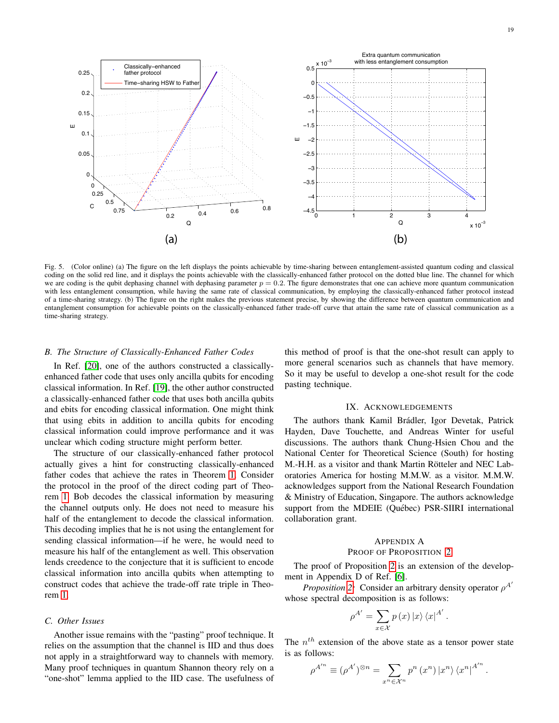

<span id="page-19-2"></span>Fig. 5. (Color online) (a) The figure on the left displays the points achievable by time-sharing between entanglement-assisted quantum coding and classical coding on the solid red line, and it displays the points achievable with the classically-enhanced father protocol on the dotted blue line. The channel for which we are coding is the qubit dephasing channel with dephasing parameter  $p = 0.2$ . The figure demonstrates that one can achieve more quantum communication with less entanglement consumption, while having the same rate of classical communication, by employing the classically-enhanced father protocol instead of a time-sharing strategy. (b) The figure on the right makes the previous statement precise, by showing the difference between quantum communication and entanglement consumption for achievable points on the classically-enhanced father trade-off curve that attain the same rate of classical communication as a time-sharing strategy.

## <span id="page-19-0"></span>*B. The Structure of Classically-Enhanced Father Codes*

In Ref. [\[20\]](#page-23-12), one of the authors constructed a classicallyenhanced father code that uses only ancilla qubits for encoding classical information. In Ref. [\[19\]](#page-23-11), the other author constructed a classically-enhanced father code that uses both ancilla qubits and ebits for encoding classical information. One might think that using ebits in addition to ancilla qubits for encoding classical information could improve performance and it was unclear which coding structure might perform better.

The structure of our classically-enhanced father protocol actually gives a hint for constructing classically-enhanced father codes that achieve the rates in Theorem [1.](#page-4-0) Consider the protocol in the proof of the direct coding part of Theorem [1.](#page-4-0) Bob decodes the classical information by measuring the channel outputs only. He does not need to measure his half of the entanglement to decode the classical information. This decoding implies that he is not using the entanglement for sending classical information—if he were, he would need to measure his half of the entanglement as well. This observation lends creedence to the conjecture that it is sufficient to encode classical information into ancilla qubits when attempting to construct codes that achieve the trade-off rate triple in Theorem [1.](#page-4-0)

## *C. Other Issues*

Another issue remains with the "pasting" proof technique. It relies on the assumption that the channel is IID and thus does not apply in a straightforward way to channels with memory. Many proof techniques in quantum Shannon theory rely on a "one-shot" lemma applied to the IID case. The usefulness of

this method of proof is that the one-shot result can apply to more general scenarios such as channels that have memory. So it may be useful to develop a one-shot result for the code pasting technique.

#### IX. ACKNOWLEDGEMENTS

The authors thank Kamil Brádler, Igor Devetak, Patrick Hayden, Dave Touchette, and Andreas Winter for useful discussions. The authors thank Chung-Hsien Chou and the National Center for Theoretical Science (South) for hosting M.-H.H. as a visitor and thank Martin Rötteler and NEC Laboratories America for hosting M.M.W. as a visitor. M.M.W. acknowledges support from the National Research Foundation & Ministry of Education, Singapore. The authors acknowledge support from the MDEIE (Québec) PSR-SIIRI international collaboration grant.

# <span id="page-19-1"></span>APPENDIX A

## PROOF OF PROPOSITION [2](#page-10-2)

The proof of Proposition [2](#page-10-2) is an extension of the development in Appendix D of Ref. [\[6\]](#page-22-5).

*Proposition* [2:](#page-10-2) Consider an arbitrary density operator  $\rho^{A'}$ whose spectral decomposition is as follows:

$$
\rho^{A'} = \sum_{x \in \mathcal{X}} p(x) |x\rangle \langle x|^{A'}.
$$

The  $n^{th}$  extension of the above state as a tensor power state is as follows:

$$
\rho^{A^{\prime n}} \equiv (\rho^{A^{\prime}})^{\otimes n} = \sum_{x^n \in \mathcal{X}^n} p^n (x^n) |x^n\rangle \langle x^n|^{A^{\prime n}}.
$$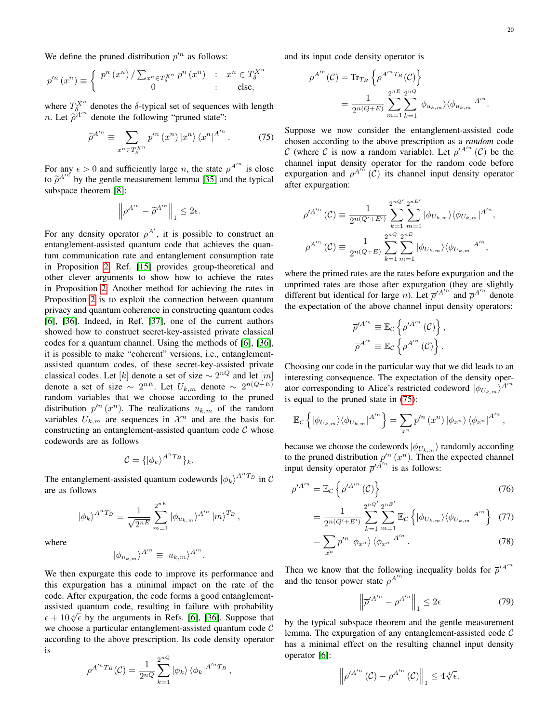We define the pruned distribution  $p'^n$  as follows:

$$
p'^{n}\left(x^{n}\right)\equiv\left\{\begin{array}{ccl} p^{n}\left(x^{n}\right)/\sum_{x^{n}\in T_{\delta}^{X^{n}}}p^{n}\left(x^{n}\right) & : & x^{n}\in T_{\delta}^{X^{n}} \\ 0 & : & \text { else, } \end{array}\right.
$$

where  $T_{\delta}^{X^{n}}$  denotes the  $\delta$ -typical set of sequences with length *n*. Let  $\tilde{\rho}^{A^{\prime n}}$  denote the following "pruned state":

<span id="page-20-0"></span>
$$
\widetilde{\rho}^{A^{\prime n}} \equiv \sum_{x^n \in T_{\delta}^{X^n}} p^{\prime n} \left( x^n \right) \left| x^n \right\rangle \left\langle x^n \right|^{A^{\prime n}}. \tag{75}
$$

For any  $\epsilon > 0$  and sufficiently large n, the state  $\rho^{A}$  is close to  $\tilde{\rho}^{A^{n}}$  by the gentle measurement lemma [\[35\]](#page-23-28) and the typical<br>subspace theorem [8]. subspace theorem [\[8\]](#page-23-1):

$$
\left\|\rho^{A^{\prime n}} - \widetilde{\rho}^{A^{\prime n}}\right\|_1 \leq 2\epsilon.
$$

For any density operator  $\rho^{A'}$ , it is possible to construct an entanglement-assisted quantum code that achieves the quantum communication rate and entanglement consumption rate in Proposition [2.](#page-10-2) Ref. [\[15\]](#page-23-8) provides group-theoretical and other clever arguments to show how to achieve the rates in Proposition [2.](#page-10-2) Another method for achieving the rates in Proposition [2](#page-10-2) is to exploit the connection between quantum privacy and quantum coherence in constructing quantum codes [\[6\]](#page-22-5), [\[36\]](#page-23-29). Indeed, in Ref. [\[37\]](#page-23-30), one of the current authors showed how to construct secret-key-assisted private classical codes for a quantum channel. Using the methods of [\[6\]](#page-22-5), [\[36\]](#page-23-29), it is possible to make "coherent" versions, i.e., entanglementassisted quantum codes, of these secret-key-assisted private classical codes. Let [k] denote a set of size  $\sim 2^{nQ}$  and let  $[m]$ denote a set of size  $\sim 2^{nE}$ . Let  $U_{k,m}$  denote  $\sim 2^{n(Q+E)}$ random variables that we choose according to the pruned distribution  $p'^{n}(x^{n})$ . The realizations  $u_{k,m}$  of the random variables  $U_{k,m}$  are sequences in  $\mathcal{X}^n$  and are the basis for constructing an entanglement-assisted quantum code  $C$  whose codewords are as follows

$$
\mathcal{C} = \{ |\phi_k\rangle^{A^n T_B} \}_k.
$$

The entanglement-assisted quantum codewords  $|\phi_k\rangle^{A^n T_B}$  in C are as follows

$$
\left|\phi_{k}\right\rangle^{A^{n}T_{B}} \equiv \frac{1}{\sqrt{2^{nE}}}\sum_{m=1}^{2^{nE}}\left|\phi_{u_{k,m}}\right\rangle^{A^{\prime n}}\left|m\right\rangle^{T_{B}},
$$

where

$$
|\phi_{u_{k,m}}\rangle^{A^{\prime n}}\equiv |u_{k,m}\rangle^{A^{\prime n}}.
$$

We then expurgate this code to improve its performance and this expurgation has a minimal impact on the rate of the code. After expurgation, the code forms a good entanglementassisted quantum code, resulting in failure with probability  $\epsilon + 10\sqrt[4]{\epsilon}$  by the arguments in Refs. [\[6\]](#page-22-5), [\[36\]](#page-23-29). Suppose that we choose a particular entanglement-assisted quantum code C according to the above prescription. Its code density operator is

$$
\rho^{A^{\prime n}T_B}(\mathcal{C}) = \frac{1}{2^{nQ}} \sum_{k=1}^{2^{nQ}} |\phi_k\rangle \langle \phi_k|^{A^{\prime n}T_B},
$$

and its input code density operator is

$$
\rho^{A'^{n}}(\mathcal{C}) = \text{Tr}_{T_B} \left\{ \rho^{A'^{n} T_B}(\mathcal{C}) \right\}
$$
  
= 
$$
\frac{1}{2^{n(Q+E)}} \sum_{m=1}^{2^{nE}} \sum_{k=1}^{2^{nQ}} |\phi_{u_{k,m}}\rangle \langle \phi_{u_{k,m}}|^{A'^{n}}.
$$

Suppose we now consider the entanglement-assisted code chosen according to the above prescription as a *random* code C (where C is now a random variable). Let  $\rho^{\prime A^{n}}(C)$  be the channel input density operator for the random code before expurgation and  $\rho^{A'^h}$  (C) its channel input density operator after expurgation:

$$
\rho'^{A'^n}(C) \equiv \frac{1}{2^{n(Q'+E')}} \sum_{k=1}^{2^{nQ'}} \sum_{m=1}^{2^{nE'}} |\phi_{U_{k,m}}\rangle \langle \phi_{U_{k,m}}|^{A'^n},
$$
  

$$
\rho^{A'^n}(C) \equiv \frac{1}{2^{n(Q+E)}} \sum_{k=1}^{2^{nQ}} \sum_{m=1}^{2^{nE}} |\phi_{U_{k,m}}\rangle \langle \phi_{U_{k,m}}|^{A'^n},
$$

where the primed rates are the rates before expurgation and the unprimed rates are those after expurgation (they are slightly different but identical for large n). Let  $\overline{\rho}'^{A'^n}$  and  $\overline{\rho}^{A'^n}$  denote the expectation of the above channel input density operators:

$$
\overline{\rho}'^{A^{\prime n}} \equiv \mathbb{E}_{\mathcal{C}} \left\{ \rho'^{A^{\prime n}} \left( \mathcal{C} \right) \right\},
$$
  

$$
\overline{\rho}^{A^{\prime n}} \equiv \mathbb{E}_{\mathcal{C}} \left\{ \rho^{A^{\prime n}} \left( \mathcal{C} \right) \right\}.
$$

Choosing our code in the particular way that we did leads to an interesting consequence. The expectation of the density operator corresponding to Alice's restricted codeword  $|\phi_{U_{k,m}}\rangle^{A'^n}$ is equal to the pruned state in [\(75\)](#page-20-0):

$$
\mathbb{E}_{\mathcal{C}}\left\{|\phi_{U_{k,m}}\rangle\langle\phi_{U_{k,m}}|^{A^{\prime n}}\right\}=\sum_{x^n}p^{\prime n}\left(x^n\right)|\phi_{x^n}\rangle\langle\phi_{x^n}|^{A^{\prime n}},
$$

because we choose the codewords  $|\phi_{U_{k,m}}\rangle$  randomly according to the pruned distribution  $p^{\prime n}(x^n)$ . Then the expected channel input density operator  $\overline{\rho}^{\prime A^{n}}$  is as follows:

$$
\overline{\rho}'^{A^{\prime n}} = \mathbb{E}_{\mathcal{C}} \left\{ \rho'^{A^{\prime n}} \left( \mathcal{C} \right) \right\} \tag{76}
$$

$$
= \frac{1}{2^{n(Q'+E')}} \sum_{k=1}^{2^{nQ}} \sum_{m=1}^{2^{nE}} \mathbb{E}_{\mathcal{C}} \left\{ |\phi_{U_{k,m}}\rangle \langle \phi_{U_{k,m}}|^{A'^n} \right\} (77)
$$

$$
=\sum_{x^n} p'^n \left| \phi_{x^n} \right\rangle \left\langle \phi_{x^n} \right|^{A'^n}.\tag{78}
$$

Then we know that the following inequality holds for  $\overline{\rho}^{\prime A^{n}}$ and the tensor power state  $\rho^{A'^n}$ 

<span id="page-20-1"></span>
$$
\left\| \overline{\rho}'^{A^{\prime n}} - \rho^{A^{\prime n}} \right\|_1 \leq 2\epsilon \tag{79}
$$

by the typical subspace theorem and the gentle measurement lemma. The expurgation of any entanglement-assisted code C has a minimal effect on the resulting channel input density operator [\[6\]](#page-22-5):

$$
\left\| \rho^{\prime A^{\prime n}}\left(\mathcal{C}\right) - \rho^{A^{\prime n}}\left(\mathcal{C}\right) \right\|_{1} \leq 4 \sqrt[4]{\epsilon}.
$$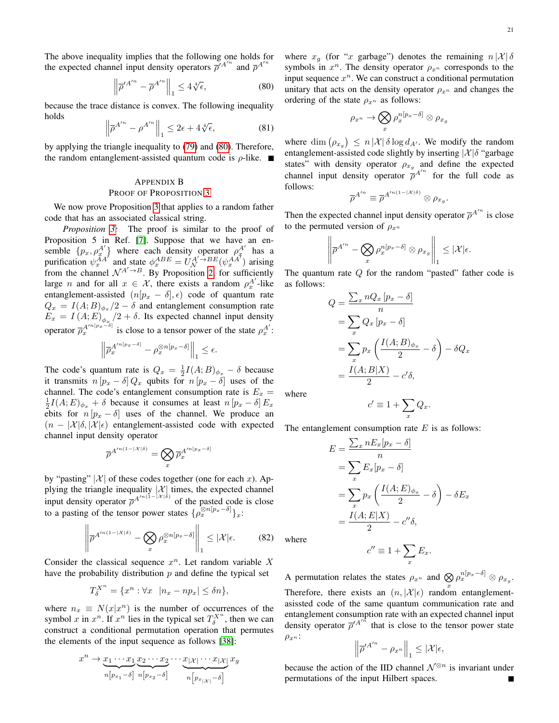The above inequality implies that the following one holds for the expected channel input density operators  $\overline{\rho}^{A'^n}$  and  $\overline{\rho}^{A'^n}$ 

<span id="page-21-1"></span>
$$
\left\| \overline{\rho}'^{A^{\prime n}} - \overline{\rho}^{A^{\prime n}} \right\|_{1} \le 4 \sqrt[4]{\epsilon},\tag{80}
$$

because the trace distance is convex. The following inequality holds

$$
\left\| \overline{\rho}^{A^{\prime n}} - \rho^{A^{\prime n}} \right\|_1 \le 2\epsilon + 4\sqrt[4]{\epsilon},\tag{81}
$$

by applying the triangle inequality to [\(79\)](#page-20-1) and [\(80\)](#page-21-1). Therefore, the random entanglement-assisted quantum code is  $\rho$ -like.

## <span id="page-21-0"></span>APPENDIX B PROOF OF PROPOSITION [3](#page-10-1)

We now prove Proposition [3](#page-10-1) that applies to a random father code that has an associated classical string.

*Proposition [3:](#page-10-1)* The proof is similar to the proof of Proposition 5 in Ref. [\[7\]](#page-23-0). Suppose that we have an ensemble  $\{p_x, \rho_x^{A'}\}$  where each density operator  $\rho_x^{A'}$  has a purification  $\psi_x^{\tilde{A}A'}$  and state  $\phi_x^{ABE} = U_{\mathcal{N}}^{A' \to BE}(\psi_x^{A A'})$  arising from the channel  $\mathcal{N}^{A' \to B}$ . By Proposition [2,](#page-10-2) for sufficiently large *n* and for all  $x \in \mathcal{X}$ , there exists a random  $\rho_x^{A'}$ -like entanglement-assisted  $(n[p_x - \delta], \epsilon)$  code of quantum rate  $Q_x = I(A;B)_{\phi_x}/2 - \delta$  and entanglement consumption rate  $E_x = I(A; E)_{\phi_x}/2 + \delta$ . Its expected channel input density operator  $\overline{\rho}_{x}^{A^{\prime n [p_{x}-\delta]}}$  is close to a tensor power of the state  $\rho_{x}^{A^{\prime}}$ :

$$
\left\|\overline{\rho}_{x}^{A^{\prime n[p_{x}-\delta]}}-\rho_{x}^{\otimes n[p_{x}-\delta]}\right\|_{1}\leq\epsilon.
$$

The code's quantum rate is  $Q_x = \frac{1}{2}I(A;B)_{\phi_x} - \delta$  because it transmits  $n[p_x - \delta]Q_x$  qubits for  $n[p_x - \delta]$  uses of the channel. The code's entanglement consumption rate is  $E_x =$  $\frac{1}{2}I(A;E)_{\phi_x} + \delta$  because it consumes at least  $n[p_x - \delta]E_x$ ebits for  $n[p_x - \delta]$  uses of the channel. We produce an  $(n - |\mathcal{X}|\delta, |\mathcal{X}|\epsilon)$  entanglement-assisted code with expected channel input density operator

$$
\overline{\rho}^{A^{\prime n(1-|\mathcal{X}|\delta)}}=\bigotimes_x\overline{\rho}^{A^{\prime n[p_x-\delta]}}_x
$$

by "pasting" |X| of these codes together (one for each x). Applying the triangle inequality  $|\mathcal{X}|$  times, the expected channel input density operator  $\overline{\rho}^{A^{n(1-|X|\delta)}}$  of the pasted code is close to a pasting of the tensor power states  $\{\rho_x^{\otimes n[p_x-\delta]}\}_x$ :

$$
\left\| \overline{\rho}^{A^{\prime n(1-|\mathcal{X}|\delta)}} - \bigotimes_{x} \rho_x^{\otimes n[p_x - \delta]} \right\|_1 \leq |\mathcal{X}|\epsilon. \tag{82}
$$

Consider the classical sequence  $x^n$ . Let random variable X have the probability distribution  $p$  and define the typical set

$$
T_{\delta}^{X^n} = \{x^n : \forall x \ |n_x - np_x| \le \delta n\},\
$$

where  $n_x \equiv N(x|x^n)$  is the number of occurrences of the symbol x in  $x^n$ . If  $x^n$  lies in the typical set  $T_{\delta}^{X^n}$ , then we can construct a conditional permutation operation that permutes the elements of the input sequence as follows [\[38\]](#page-23-31):

$$
x^{n} \to \underbrace{x_{1} \cdots x_{1}}_{n[p_{x_{1}} - \delta]} \underbrace{x_{2} \cdots x_{2}}_{n[p_{x_{2}} - \delta]} \cdots \underbrace{x_{|\mathcal{X}|} \cdots x_{|\mathcal{X}|}}_{n[p_{x_{|\mathcal{X}|}} - \delta]} x_{g}
$$

where  $x_g$  (for "x garbage") denotes the remaining  $n |\mathcal{X}| \delta$ symbols in  $x^n$ . The density operator  $\rho_{x^n}$  corresponds to the input sequence  $x^n$ . We can construct a conditional permutation unitary that acts on the density operator  $\rho_{x^n}$  and changes the ordering of the state  $\rho_{x^n}$  as follows:

$$
\rho_{x^n}\to \bigotimes_x \rho_x^{n[p_x-\delta]}\otimes \rho_{x_g}
$$

where  $\dim(\rho_{x_g}) \leq n |\mathcal{X}| \delta \log d_{A'}$ . We modify the random entanglement-assisted code slightly by inserting  $|\mathcal{X}| \delta$  "garbage" states" with density operator  $\rho_{x_g}$  and define the expected channel input density operator  $\overline{\rho}^{A^{n}}$  for the full code as follows:

$$
\overline{\rho}^{A^{\prime n}} \equiv \overline{\rho}^{A^{\prime n(1-|\mathcal{X}|\delta)}} \otimes \rho_{x_g}.
$$

Then the expected channel input density operator  $\overline{\rho}^{A'^n}$  is close to the permuted version of  $\rho_{x^n}$ 

$$
\left\|\overline{\rho}^{A^{\prime n}}-\bigotimes_{x}\rho_x^{n[p_x-\delta]}\otimes\rho_{x_g}\right\|_1\leq|\mathcal{X}|\epsilon.
$$

The quantum rate Q for the random "pasted" father code is as follows:

$$
Q = \frac{\sum_{x} nQ_x [p_x - \delta]}{n}
$$
  
=  $\sum_{x} Q_x [p_x - \delta]$   
=  $\sum_{x} p_x \left( \frac{I(A;B)_{\phi_x}}{2} - \delta \right) - \delta Q_x$   
=  $\frac{I(A;B|X)}{2} - c'\delta$ ,

where

$$
c' \equiv 1 + \sum_{x} Q_x.
$$

The entanglement consumption rate  $E$  is as follows:

$$
E = \frac{\sum_{x} n E_{x} [p_{x} - \delta]}{n}
$$
  
=  $\sum_{x} E_{x} [p_{x} - \delta]$   
=  $\sum_{x} p_{x} \left( \frac{I(A; E)_{\phi_{x}}}{2} - \delta \right) - \delta E_{x}$   
=  $\frac{I(A; E|X)}{2} - c'' \delta$ ,

where

$$
c'' \equiv 1 + \sum_{x} E_x.
$$

A permutation relates the states  $\rho_{x^n}$  and  $\bigotimes_{x} \rho_{x}^{n[p_x-\delta]} \otimes \rho_{x_g}$ . Therefore, there exists an  $(n, |\mathcal{X}| \epsilon)$  random entanglementasissted code of the same quantum communication rate and entanglement consumption rate with an expected channel input density operator  $\overline{\rho}'^{A'^{\hat{n}}}$  that is close to the tensor power state  $\rho_{x^n}$ :

$$
\left\|\overline{\rho}'^{A^{\prime n}} - \rho_{x^n}\right\|_1 \leq |\mathcal{X}|\epsilon,
$$

because the action of the IID channel  $\mathcal{N}^{\otimes n}$  is invariant under permutations of the input Hilbert spaces.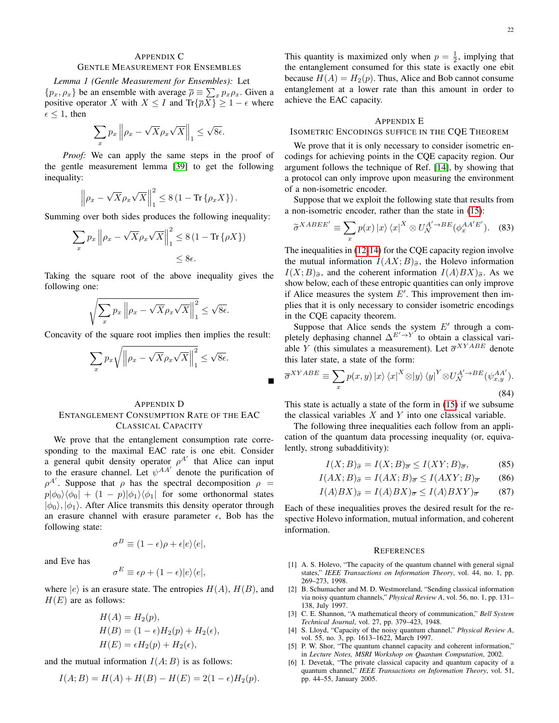#### APPENDIX C

## GENTLE MEASUREMENT FOR ENSEMBLES

<span id="page-22-7"></span>*Lemma 1 (Gentle Measurement for Ensembles):* Let  $\{p_x, \rho_x\}$  be an ensemble with average  $\overline{\rho} \equiv \sum_x p_x \rho_x$ . Given a positive operator X with  $X \leq I$  and  $Tr{\overline{\rho}X} \geq 1 - \epsilon$  where  $\epsilon \leq 1$ , then

$$
\sum_{x} p_x \left\| \rho_x - \sqrt{X} \rho_x \sqrt{X} \right\|_1 \le \sqrt{8\epsilon}.
$$

*Proof:* We can apply the same steps in the proof of the gentle measurement lemma [\[39\]](#page-23-32) to get the following inequality:

$$
\left\|\rho_x - \sqrt{X}\rho_x\sqrt{X}\right\|_1^2 \le 8(1 - \text{Tr}\left\{\rho_x X\right\}).
$$

Summing over both sides produces the following inequality:

$$
\sum_{x} p_x \left\| \rho_x - \sqrt{X} \rho_x \sqrt{X} \right\|_1^2 \le 8 \left( 1 - \text{Tr} \left\{ \rho X \right\} \right)
$$
  
\$\le 8\epsilon\$.

Taking the square root of the above inequality gives the following one:

$$
\sqrt{\sum_{x} p_x \left\| \rho_x - \sqrt{X} \rho_x \sqrt{X} \right\|_1^2} \le \sqrt{8\epsilon}.
$$

Concavity of the square root implies then implies the result:

<span id="page-22-8"></span>
$$
\sum_{x} p_x \sqrt{\left\| \rho_x - \sqrt{X} \rho_x \sqrt{X} \right\|_1^2} \le \sqrt{8\epsilon}.
$$

П

## APPENDIX D ENTANGLEMENT CONSUMPTION RATE OF THE EAC CLASSICAL CAPACITY

We prove that the entanglement consumption rate corresponding to the maximal EAC rate is one ebit. Consider a general qubit density operator  $\rho^{A'}$  that Alice can input to the erasure channel. Let  $\psi^{AA'}$  denote the purification of  $\rho^{A'}$ . Suppose that  $\rho$  has the spectral decomposition  $\rho =$  $p|\phi_0\rangle\langle\phi_0| + (1 - p)|\phi_1\rangle\langle\phi_1|$  for some orthonormal states  $|\phi_0\rangle$ ,  $|\phi_1\rangle$ . After Alice transmits this density operator through an erasure channel with erasure parameter  $\epsilon$ , Bob has the following state:

$$
\sigma^B \equiv (1 - \epsilon)\rho + \epsilon|e\rangle\langle e|,
$$

and Eve has

$$
\sigma^{E} \equiv \epsilon \rho + (1 - \epsilon)|e\rangle\langle e|,
$$

where  $|e\rangle$  is an erasure state. The entropies  $H(A)$ ,  $H(B)$ , and  $H(E)$  are as follows:

$$
H(A) = H_2(p), H(B) = (1 - \epsilon)H_2(p) + H_2(\epsilon), H(E) = \epsilon H_2(p) + H_2(\epsilon),
$$

and the mutual information  $I(A;B)$  is as follows:

$$
I(A;B) = H(A) + H(B) - H(E) = 2(1 - \epsilon)H_2(p).
$$

This quantity is maximized only when  $p = \frac{1}{2}$ , implying that the entanglement consumed for this state is exactly one ebit because  $H(A) = H_2(p)$ . Thus, Alice and Bob cannot consume entanglement at a lower rate than this amount in order to achieve the EAC capacity.

## <span id="page-22-6"></span>APPENDIX E

#### ISOMETRIC ENCODINGS SUFFICE IN THE CQE THEOREM

We prove that it is only necessary to consider isometric encodings for achieving points in the CQE capacity region. Our argument follows the technique of Ref. [\[14\]](#page-23-7), by showing that a protocol can only improve upon measuring the environment of a non-isometric encoder.

Suppose that we exploit the following state that results from a non-isometric encoder, rather than the state in [\(15\)](#page-4-5):

$$
\widetilde{\sigma}^{XABEE'} \equiv \sum_{x} p(x) \ket{x} \bra{x}^{X} \otimes U_{\mathcal{N}}^{A' \to BE} (\phi_{x}^{AA'E'}). \tag{83}
$$

The inequalities in [\(12-](#page-4-3)[14\)](#page-4-4) for the CQE capacity region involve the mutual information  $I(AX;B)_{\tilde{\sigma}}$ , the Holevo information  $I(X;B)_{\tilde{\sigma}}$ , and the coherent information  $I(A\rangle BX)_{\tilde{\sigma}}$ . As we show below, each of these entropic quantities can only improve if Alice measures the system  $E'$ . This improvement then implies that it is only necessary to consider isometric encodings in the CQE capacity theorem.

Suppose that Alice sends the system  $E'$  through a completely dephasing channel  $\Delta^{E' \to Y}$  to obtain a classical variable Y (this simulates a measurement). Let  $\overline{\sigma}^{XYABE}$  denote this later state, a state of the form:

$$
\overline{\sigma}^{XYABE} \equiv \sum_{x} p(x, y) |x\rangle \langle x|^X \otimes |y\rangle \langle y|^Y \otimes U^{A' \to BE}_{\mathcal{N}}(\psi^{AA'}_{x,y}).
$$
\n(84)

This state is actually a state of the form in [\(15\)](#page-4-5) if we subsume the classical variables  $X$  and  $Y$  into one classical variable.

The following three inequalities each follow from an application of the quantum data processing inequality (or, equivalently, strong subadditivity):

$$
I(X;B)_{\overline{\sigma}} = I(X;B)_{\overline{\sigma}} \le I(XY;B)_{\overline{\sigma}},\tag{85}
$$

$$
I(AX;B)_{\overline{\sigma}} = I(AX;B)_{\overline{\sigma}} \le I(AXY;B)_{\overline{\sigma}} \qquad (86)
$$

$$
I(A\rangle BX)_{\overline{\sigma}} = I(A\rangle BX)_{\overline{\sigma}} \le I(A\rangle BXY)_{\overline{\sigma}} \tag{87}
$$

Each of these inequalities proves the desired result for the respective Holevo information, mutual information, and coherent information.

#### **REFERENCES**

- <span id="page-22-0"></span>[1] A. S. Holevo, "The capacity of the quantum channel with general signal states," *IEEE Transactions on Information Theory*, vol. 44, no. 1, pp. 269–273, 1998.
- <span id="page-22-1"></span>[2] B. Schumacher and M. D. Westmoreland, "Sending classical information via noisy quantum channels," *Physical Review A*, vol. 56, no. 1, pp. 131– 138, July 1997.
- <span id="page-22-2"></span>[3] C. E. Shannon, "A mathematical theory of communication," *Bell System Technical Journal*, vol. 27, pp. 379–423, 1948.
- <span id="page-22-3"></span>[4] S. Lloyd, "Capacity of the noisy quantum channel," *Physical Review A*, vol. 55, no. 3, pp. 1613–1622, March 1997.
- <span id="page-22-4"></span>[5] P. W. Shor, "The quantum channel capacity and coherent information," in *Lecture Notes, MSRI Workshop on Quantum Computation*, 2002.
- <span id="page-22-5"></span>[6] I. Devetak, "The private classical capacity and quantum capacity of a quantum channel," *IEEE Transactions on Information Theory*, vol. 51, pp. 44–55, January 2005.